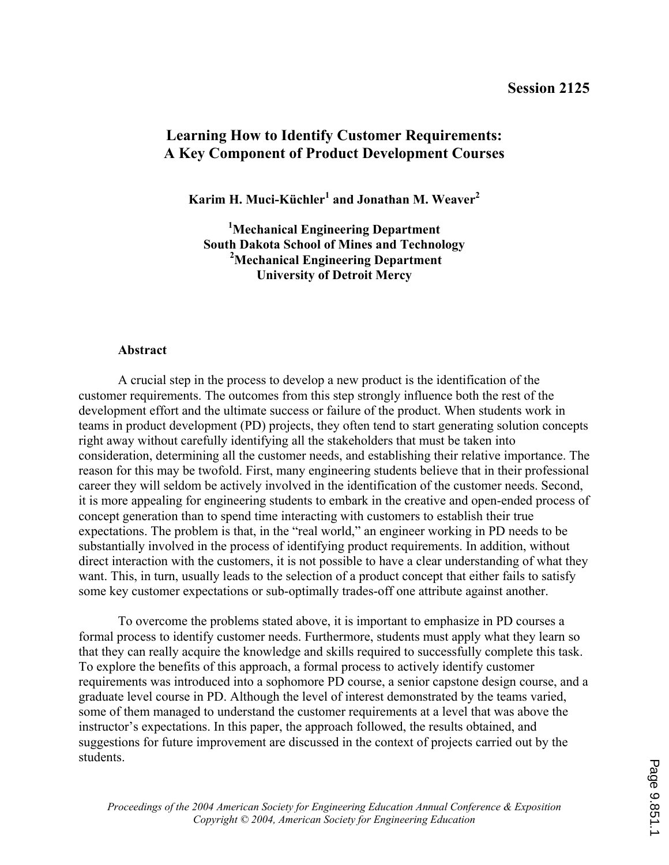# **Learning How to Identify Customer Requirements: A Key Component of Product Development Courses**

**Karim H. Muci-Küchler<sup>1</sup> and Jonathan M. Weaver<sup>2</sup>**

**<sup>1</sup>Mechanical Engineering Department South Dakota School of Mines and Technology <sup>2</sup>Mechanical Engineering Department University of Detroit Mercy** 

#### **Abstract**

A crucial step in the process to develop a new product is the identification of the customer requirements. The outcomes from this step strongly influence both the rest of the development effort and the ultimate success or failure of the product. When students work in teams in product development (PD) projects, they often tend to start generating solution concepts right away without carefully identifying all the stakeholders that must be taken into consideration, determining all the customer needs, and establishing their relative importance. The reason for this may be twofold. First, many engineering students believe that in their professional career they will seldom be actively involved in the identification of the customer needs. Second, it is more appealing for engineering students to embark in the creative and open-ended process of concept generation than to spend time interacting with customers to establish their true expectations. The problem is that, in the "real world," an engineer working in PD needs to be substantially involved in the process of identifying product requirements. In addition, without direct interaction with the customers, it is not possible to have a clear understanding of what they want. This, in turn, usually leads to the selection of a product concept that either fails to satisfy some key customer expectations or sub-optimally trades-off one attribute against another.

To overcome the problems stated above, it is important to emphasize in PD courses a formal process to identify customer needs. Furthermore, students must apply what they learn so that they can really acquire the knowledge and skills required to successfully complete this task. To explore the benefits of this approach, a formal process to actively identify customer requirements was introduced into a sophomore PD course, a senior capstone design course, and a graduate level course in PD. Although the level of interest demonstrated by the teams varied, some of them managed to understand the customer requirements at a level that was above the instructor's expectations. In this paper, the approach followed, the results obtained, and suggestions for future improvement are discussed in the context of projects carried out by the students.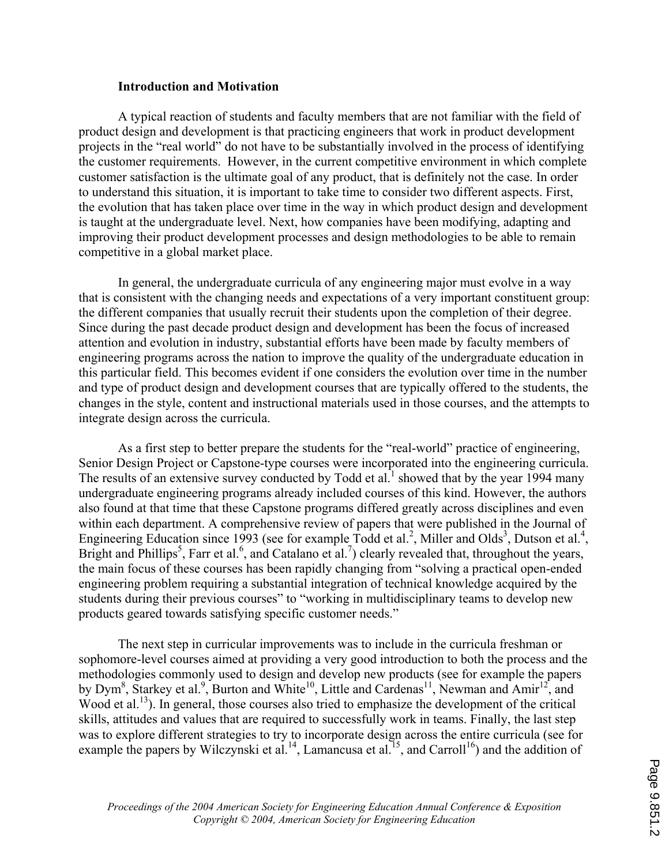#### **Introduction and Motivation**

 A typical reaction of students and faculty members that are not familiar with the field of product design and development is that practicing engineers that work in product development projects in the "real world" do not have to be substantially involved in the process of identifying the customer requirements. However, in the current competitive environment in which complete customer satisfaction is the ultimate goal of any product, that is definitely not the case. In order to understand this situation, it is important to take time to consider two different aspects. First, the evolution that has taken place over time in the way in which product design and development is taught at the undergraduate level. Next, how companies have been modifying, adapting and improving their product development processes and design methodologies to be able to remain competitive in a global market place.

In general, the undergraduate curricula of any engineering major must evolve in a way that is consistent with the changing needs and expectations of a very important constituent group: the different companies that usually recruit their students upon the completion of their degree. Since during the past decade product design and development has been the focus of increased attention and evolution in industry, substantial efforts have been made by faculty members of engineering programs across the nation to improve the quality of the undergraduate education in this particular field. This becomes evident if one considers the evolution over time in the number and type of product design and development courses that are typically offered to the students, the changes in the style, content and instructional materials used in those courses, and the attempts to integrate design across the curricula.

As a first step to better prepare the students for the "real-world" practice of engineering, Senior Design Project or Capstone-type courses were incorporated into the engineering curricula. The results of an extensive survey conducted by Todd et al.<sup>1</sup> showed that by the year 1994 many undergraduate engineering programs already included courses of this kind. However, the authors also found at that time that these Capstone programs differed greatly across disciplines and even within each department. A comprehensive review of papers that were published in the Journal of Engineering Education since 1993 (see for example Todd et al.<sup>2</sup>, Miller and Olds<sup>3</sup>, Dutson et al.<sup>4</sup>, Bright and Phillips<sup>5</sup>, Farr et al.<sup>6</sup>, and Catalano et al.<sup>7</sup>) clearly revealed that, throughout the years, the main focus of these courses has been rapidly changing from "solving a practical open-ended engineering problem requiring a substantial integration of technical knowledge acquired by the students during their previous courses" to "working in multidisciplinary teams to develop new products geared towards satisfying specific customer needs."

The next step in curricular improvements was to include in the curricula freshman or sophomore-level courses aimed at providing a very good introduction to both the process and the methodologies commonly used to design and develop new products (see for example the papers by Dym<sup>8</sup>, Starkey et al.<sup>9</sup>, Burton and White<sup>10</sup>, Little and Cardenas<sup>11</sup>, Newman and Amir<sup>12</sup>, and Wood et al.<sup>13</sup>). In general, those courses also tried to emphasize the development of the critical skills, attitudes and values that are required to successfully work in teams. Finally, the last step was to explore different strategies to try to incorporate design across the entire curricula (see for example the papers by Wilczynski et al.<sup>14</sup>, Lamancusa et al.<sup>15</sup>, and Carroll<sup>16</sup>) and the addition of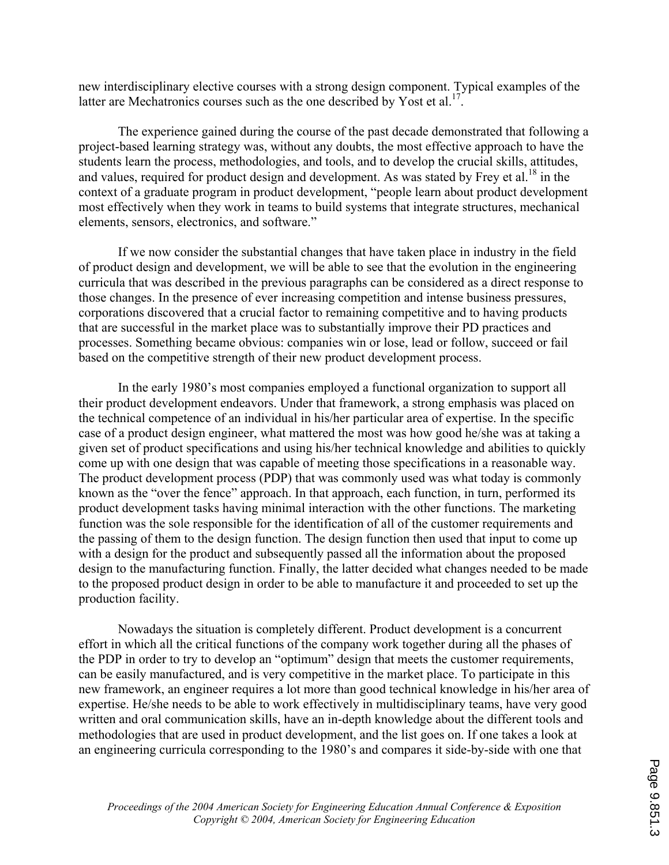new interdisciplinary elective courses with a strong design component. Typical examples of the latter are Mechatronics courses such as the one described by Yost et al.<sup>17</sup>.

The experience gained during the course of the past decade demonstrated that following a project-based learning strategy was, without any doubts, the most effective approach to have the students learn the process, methodologies, and tools, and to develop the crucial skills, attitudes, and values, required for product design and development. As was stated by Frey et al.<sup>18</sup> in the context of a graduate program in product development, "people learn about product development most effectively when they work in teams to build systems that integrate structures, mechanical elements, sensors, electronics, and software."

If we now consider the substantial changes that have taken place in industry in the field of product design and development, we will be able to see that the evolution in the engineering curricula that was described in the previous paragraphs can be considered as a direct response to those changes. In the presence of ever increasing competition and intense business pressures, corporations discovered that a crucial factor to remaining competitive and to having products that are successful in the market place was to substantially improve their PD practices and processes. Something became obvious: companies win or lose, lead or follow, succeed or fail based on the competitive strength of their new product development process.

In the early 1980's most companies employed a functional organization to support all their product development endeavors. Under that framework, a strong emphasis was placed on the technical competence of an individual in his/her particular area of expertise. In the specific case of a product design engineer, what mattered the most was how good he/she was at taking a given set of product specifications and using his/her technical knowledge and abilities to quickly come up with one design that was capable of meeting those specifications in a reasonable way. The product development process (PDP) that was commonly used was what today is commonly known as the "over the fence" approach. In that approach, each function, in turn, performed its product development tasks having minimal interaction with the other functions. The marketing function was the sole responsible for the identification of all of the customer requirements and the passing of them to the design function. The design function then used that input to come up with a design for the product and subsequently passed all the information about the proposed design to the manufacturing function. Finally, the latter decided what changes needed to be made to the proposed product design in order to be able to manufacture it and proceeded to set up the production facility.

Nowadays the situation is completely different. Product development is a concurrent effort in which all the critical functions of the company work together during all the phases of the PDP in order to try to develop an "optimum" design that meets the customer requirements, can be easily manufactured, and is very competitive in the market place. To participate in this new framework, an engineer requires a lot more than good technical knowledge in his/her area of expertise. He/she needs to be able to work effectively in multidisciplinary teams, have very good written and oral communication skills, have an in-depth knowledge about the different tools and methodologies that are used in product development, and the list goes on. If one takes a look at an engineering curricula corresponding to the 1980's and compares it side-by-side with one that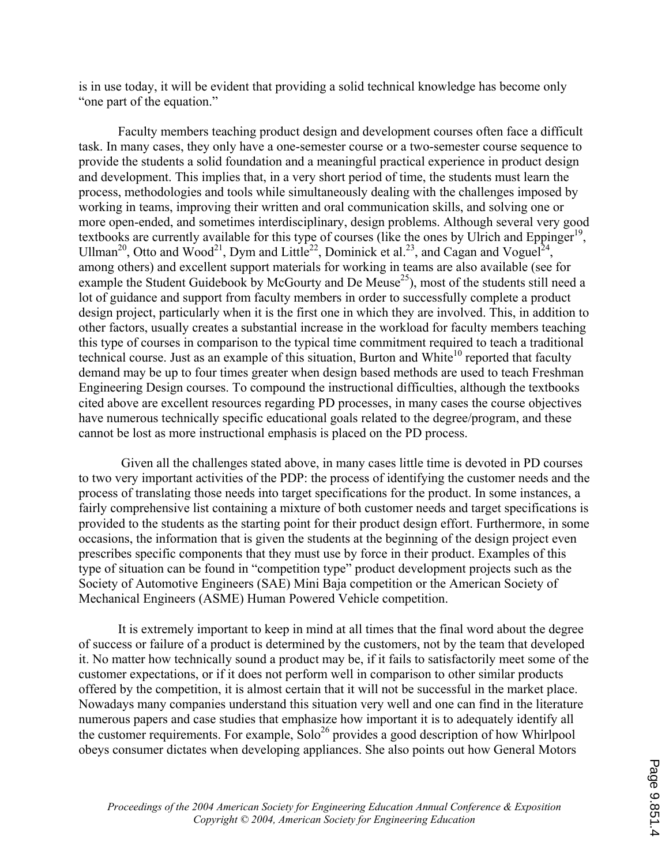is in use today, it will be evident that providing a solid technical knowledge has become only "one part of the equation."

Faculty members teaching product design and development courses often face a difficult task. In many cases, they only have a one-semester course or a two-semester course sequence to provide the students a solid foundation and a meaningful practical experience in product design and development. This implies that, in a very short period of time, the students must learn the process, methodologies and tools while simultaneously dealing with the challenges imposed by working in teams, improving their written and oral communication skills, and solving one or more open-ended, and sometimes interdisciplinary, design problems. Although several very good textbooks are currently available for this type of courses (like the ones by Ulrich and Eppinger<sup>19</sup>, Ullman<sup>20</sup>, Otto and Wood<sup>21</sup>, Dym and Little<sup>22</sup>, Dominick et al.<sup>23</sup>, and Cagan and Voguel<sup>24</sup>, among others) and excellent support materials for working in teams are also available (see for example the Student Guidebook by McGourty and De Meuse<sup>25</sup>), most of the students still need a lot of guidance and support from faculty members in order to successfully complete a product design project, particularly when it is the first one in which they are involved. This, in addition to other factors, usually creates a substantial increase in the workload for faculty members teaching this type of courses in comparison to the typical time commitment required to teach a traditional technical course. Just as an example of this situation, Burton and White<sup>10</sup> reported that faculty demand may be up to four times greater when design based methods are used to teach Freshman Engineering Design courses. To compound the instructional difficulties, although the textbooks cited above are excellent resources regarding PD processes, in many cases the course objectives have numerous technically specific educational goals related to the degree/program, and these cannot be lost as more instructional emphasis is placed on the PD process.

 Given all the challenges stated above, in many cases little time is devoted in PD courses to two very important activities of the PDP: the process of identifying the customer needs and the process of translating those needs into target specifications for the product. In some instances, a fairly comprehensive list containing a mixture of both customer needs and target specifications is provided to the students as the starting point for their product design effort. Furthermore, in some occasions, the information that is given the students at the beginning of the design project even prescribes specific components that they must use by force in their product. Examples of this type of situation can be found in "competition type" product development projects such as the Society of Automotive Engineers (SAE) Mini Baja competition or the American Society of Mechanical Engineers (ASME) Human Powered Vehicle competition.

 It is extremely important to keep in mind at all times that the final word about the degree of success or failure of a product is determined by the customers, not by the team that developed it. No matter how technically sound a product may be, if it fails to satisfactorily meet some of the customer expectations, or if it does not perform well in comparison to other similar products offered by the competition, it is almost certain that it will not be successful in the market place. Nowadays many companies understand this situation very well and one can find in the literature numerous papers and case studies that emphasize how important it is to adequately identify all the customer requirements. For example,  $\text{Solo}^{26}$  provides a good description of how Whirlpool obeys consumer dictates when developing appliances. She also points out how General Motors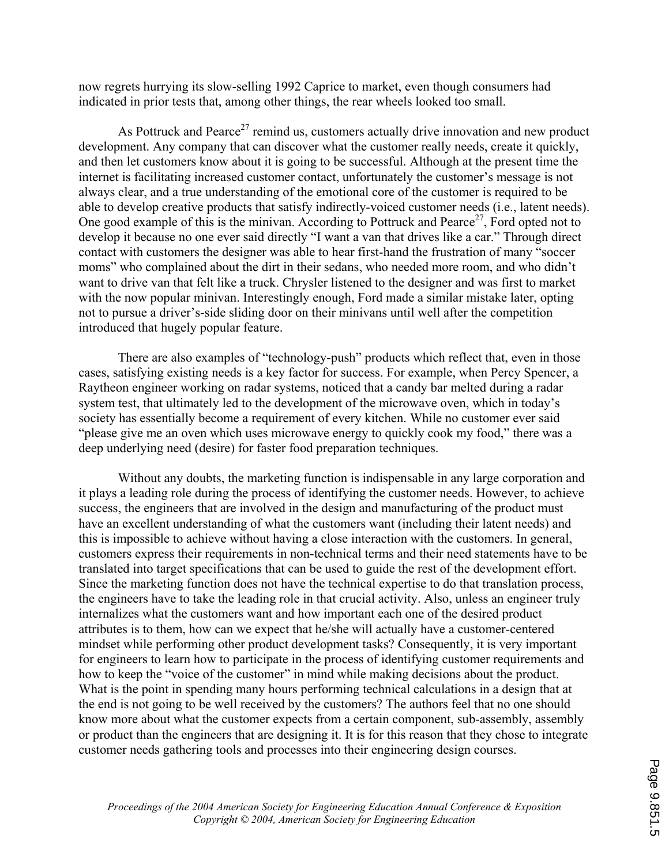now regrets hurrying its slow-selling 1992 Caprice to market, even though consumers had indicated in prior tests that, among other things, the rear wheels looked too small.

As Pottruck and Pearce<sup>27</sup> remind us, customers actually drive innovation and new product development. Any company that can discover what the customer really needs, create it quickly, and then let customers know about it is going to be successful. Although at the present time the internet is facilitating increased customer contact, unfortunately the customer's message is not always clear, and a true understanding of the emotional core of the customer is required to be able to develop creative products that satisfy indirectly-voiced customer needs (i.e., latent needs). One good example of this is the minivan. According to Pottruck and Pearce<sup>27</sup>, Ford opted not to develop it because no one ever said directly "I want a van that drives like a car." Through direct contact with customers the designer was able to hear first-hand the frustration of many "soccer moms" who complained about the dirt in their sedans, who needed more room, and who didn't want to drive van that felt like a truck. Chrysler listened to the designer and was first to market with the now popular minivan. Interestingly enough, Ford made a similar mistake later, opting not to pursue a driver's-side sliding door on their minivans until well after the competition introduced that hugely popular feature.

There are also examples of "technology-push" products which reflect that, even in those cases, satisfying existing needs is a key factor for success. For example, when Percy Spencer, a Raytheon engineer working on radar systems, noticed that a candy bar melted during a radar system test, that ultimately led to the development of the microwave oven, which in today's society has essentially become a requirement of every kitchen. While no customer ever said "please give me an oven which uses microwave energy to quickly cook my food," there was a deep underlying need (desire) for faster food preparation techniques.

Without any doubts, the marketing function is indispensable in any large corporation and it plays a leading role during the process of identifying the customer needs. However, to achieve success, the engineers that are involved in the design and manufacturing of the product must have an excellent understanding of what the customers want (including their latent needs) and this is impossible to achieve without having a close interaction with the customers. In general, customers express their requirements in non-technical terms and their need statements have to be translated into target specifications that can be used to guide the rest of the development effort. Since the marketing function does not have the technical expertise to do that translation process, the engineers have to take the leading role in that crucial activity. Also, unless an engineer truly internalizes what the customers want and how important each one of the desired product attributes is to them, how can we expect that he/she will actually have a customer-centered mindset while performing other product development tasks? Consequently, it is very important for engineers to learn how to participate in the process of identifying customer requirements and how to keep the "voice of the customer" in mind while making decisions about the product. What is the point in spending many hours performing technical calculations in a design that at the end is not going to be well received by the customers? The authors feel that no one should know more about what the customer expects from a certain component, sub-assembly, assembly or product than the engineers that are designing it. It is for this reason that they chose to integrate customer needs gathering tools and processes into their engineering design courses.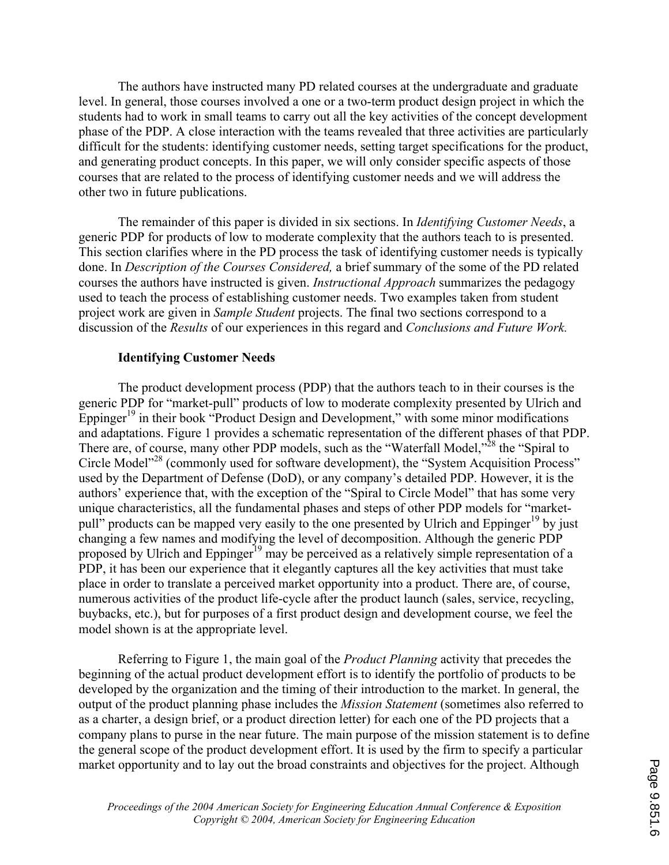The authors have instructed many PD related courses at the undergraduate and graduate level. In general, those courses involved a one or a two-term product design project in which the students had to work in small teams to carry out all the key activities of the concept development phase of the PDP. A close interaction with the teams revealed that three activities are particularly difficult for the students: identifying customer needs, setting target specifications for the product, and generating product concepts. In this paper, we will only consider specific aspects of those courses that are related to the process of identifying customer needs and we will address the other two in future publications.

 The remainder of this paper is divided in six sections. In *Identifying Customer Needs*, a generic PDP for products of low to moderate complexity that the authors teach to is presented. This section clarifies where in the PD process the task of identifying customer needs is typically done. In *Description of the Courses Considered,* a brief summary of the some of the PD related courses the authors have instructed is given. *Instructional Approach* summarizes the pedagogy used to teach the process of establishing customer needs. Two examples taken from student project work are given in *Sample Student* projects. The final two sections correspond to a discussion of the *Results* of our experiences in this regard and *Conclusions and Future Work.*

### **Identifying Customer Needs**

The product development process (PDP) that the authors teach to in their courses is the generic PDP for "market-pull" products of low to moderate complexity presented by Ulrich and Eppinger<sup>19</sup> in their book "Product Design and Development," with some minor modifications and adaptations. Figure 1 provides a schematic representation of the different phases of that PDP. There are, of course, many other PDP models, such as the "Waterfall Model,"<sup>28</sup> the "Spiral to Circle Model<sup>228</sup> (commonly used for software development), the "System Acquisition Process" used by the Department of Defense (DoD), or any company's detailed PDP. However, it is the authors' experience that, with the exception of the "Spiral to Circle Model" that has some very unique characteristics, all the fundamental phases and steps of other PDP models for "marketpull" products can be mapped very easily to the one presented by Ulrich and Eppinger<sup>19</sup> by just changing a few names and modifying the level of decomposition. Although the generic PDP proposed by Ulrich and Eppinger<sup>19</sup> may be perceived as a relatively simple representation of a PDP, it has been our experience that it elegantly captures all the key activities that must take place in order to translate a perceived market opportunity into a product. There are, of course, numerous activities of the product life-cycle after the product launch (sales, service, recycling, buybacks, etc.), but for purposes of a first product design and development course, we feel the model shown is at the appropriate level.

 Referring to Figure 1, the main goal of the *Product Planning* activity that precedes the beginning of the actual product development effort is to identify the portfolio of products to be developed by the organization and the timing of their introduction to the market. In general, the output of the product planning phase includes the *Mission Statement* (sometimes also referred to as a charter, a design brief, or a product direction letter) for each one of the PD projects that a company plans to purse in the near future. The main purpose of the mission statement is to define the general scope of the product development effort. It is used by the firm to specify a particular market opportunity and to lay out the broad constraints and objectives for the project. Although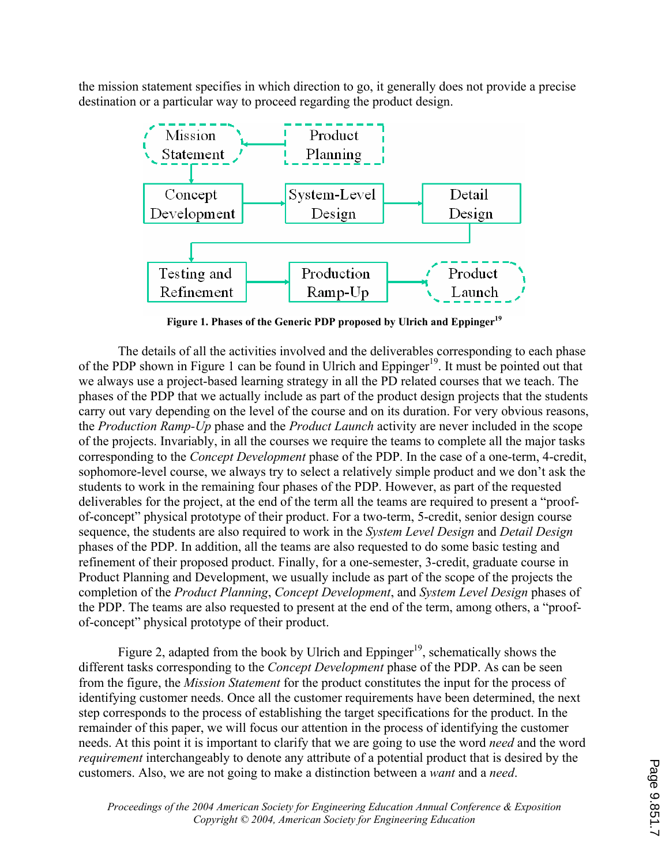the mission statement specifies in which direction to go, it generally does not provide a precise destination or a particular way to proceed regarding the product design.



**Figure 1. Phases of the Generic PDP proposed by Ulrich and Eppinger<sup>19</sup>**

The details of all the activities involved and the deliverables corresponding to each phase of the PDP shown in Figure 1 can be found in Ulrich and Eppinger<sup>19</sup>. It must be pointed out that we always use a project-based learning strategy in all the PD related courses that we teach. The phases of the PDP that we actually include as part of the product design projects that the students carry out vary depending on the level of the course and on its duration. For very obvious reasons, the *Production Ramp-Up* phase and the *Product Launch* activity are never included in the scope of the projects. Invariably, in all the courses we require the teams to complete all the major tasks corresponding to the *Concept Development* phase of the PDP. In the case of a one-term, 4-credit, sophomore-level course, we always try to select a relatively simple product and we don't ask the students to work in the remaining four phases of the PDP. However, as part of the requested deliverables for the project, at the end of the term all the teams are required to present a "proofof-concept" physical prototype of their product. For a two-term, 5-credit, senior design course sequence, the students are also required to work in the *System Level Design* and *Detail Design* phases of the PDP. In addition, all the teams are also requested to do some basic testing and refinement of their proposed product. Finally, for a one-semester, 3-credit, graduate course in Product Planning and Development, we usually include as part of the scope of the projects the completion of the *Product Planning*, *Concept Development*, and *System Level Design* phases of the PDP. The teams are also requested to present at the end of the term, among others, a "proofof-concept" physical prototype of their product.

Figure 2, adapted from the book by Ulrich and Eppinger<sup>19</sup>, schematically shows the different tasks corresponding to the *Concept Development* phase of the PDP. As can be seen from the figure, the *Mission Statement* for the product constitutes the input for the process of identifying customer needs. Once all the customer requirements have been determined, the next step corresponds to the process of establishing the target specifications for the product. In the remainder of this paper, we will focus our attention in the process of identifying the customer needs. At this point it is important to clarify that we are going to use the word *need* and the word *requirement* interchangeably to denote any attribute of a potential product that is desired by the customers. Also, we are not going to make a distinction between a *want* and a *need*.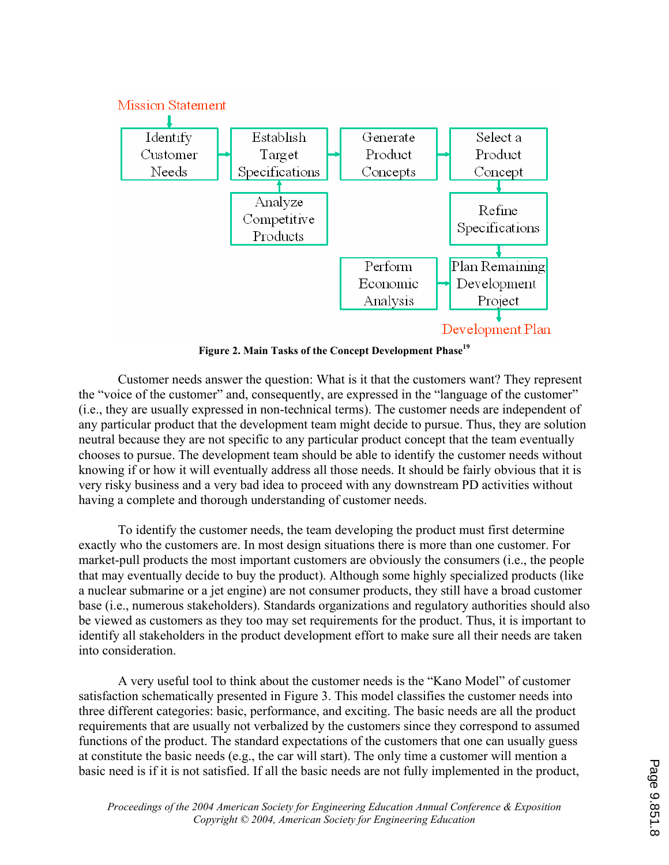

**Figure 2. Main Tasks of the Concept Development Phase<sup>19</sup>**

Customer needs answer the question: What is it that the customers want? They represent the "voice of the customer" and, consequently, are expressed in the "language of the customer" (i.e., they are usually expressed in non-technical terms). The customer needs are independent of any particular product that the development team might decide to pursue. Thus, they are solution neutral because they are not specific to any particular product concept that the team eventually chooses to pursue. The development team should be able to identify the customer needs without knowing if or how it will eventually address all those needs. It should be fairly obvious that it is very risky business and a very bad idea to proceed with any downstream PD activities without having a complete and thorough understanding of customer needs.

 To identify the customer needs, the team developing the product must first determine exactly who the customers are. In most design situations there is more than one customer. For market-pull products the most important customers are obviously the consumers (i.e., the people that may eventually decide to buy the product). Although some highly specialized products (like a nuclear submarine or a jet engine) are not consumer products, they still have a broad customer base (i.e., numerous stakeholders). Standards organizations and regulatory authorities should also be viewed as customers as they too may set requirements for the product. Thus, it is important to identify all stakeholders in the product development effort to make sure all their needs are taken into consideration.

A very useful tool to think about the customer needs is the "Kano Model" of customer satisfaction schematically presented in Figure 3. This model classifies the customer needs into three different categories: basic, performance, and exciting. The basic needs are all the product requirements that are usually not verbalized by the customers since they correspond to assumed functions of the product. The standard expectations of the customers that one can usually guess at constitute the basic needs (e.g., the car will start). The only time a customer will mention a basic need is if it is not satisfied. If all the basic needs are not fully implemented in the product,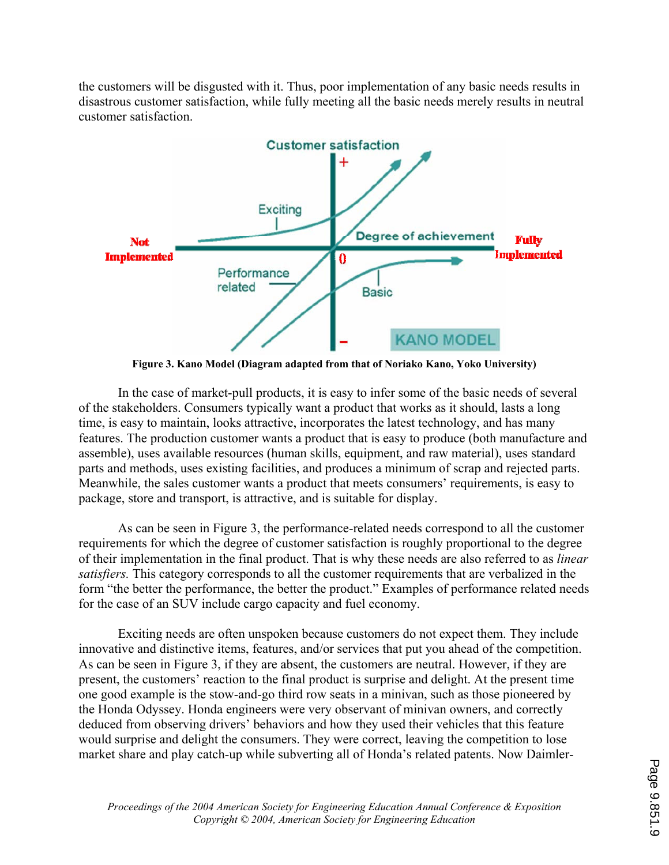the customers will be disgusted with it. Thus, poor implementation of any basic needs results in disastrous customer satisfaction, while fully meeting all the basic needs merely results in neutral customer satisfaction.



**Figure 3. Kano Model (Diagram adapted from that of Noriako Kano, Yoko University)** 

 In the case of market-pull products, it is easy to infer some of the basic needs of several of the stakeholders. Consumers typically want a product that works as it should, lasts a long time, is easy to maintain, looks attractive, incorporates the latest technology, and has many features. The production customer wants a product that is easy to produce (both manufacture and assemble), uses available resources (human skills, equipment, and raw material), uses standard parts and methods, uses existing facilities, and produces a minimum of scrap and rejected parts. Meanwhile, the sales customer wants a product that meets consumers' requirements, is easy to package, store and transport, is attractive, and is suitable for display.

 As can be seen in Figure 3, the performance-related needs correspond to all the customer requirements for which the degree of customer satisfaction is roughly proportional to the degree of their implementation in the final product. That is why these needs are also referred to as *linear satisfiers.* This category corresponds to all the customer requirements that are verbalized in the form "the better the performance, the better the product." Examples of performance related needs for the case of an SUV include cargo capacity and fuel economy.

 Exciting needs are often unspoken because customers do not expect them. They include innovative and distinctive items, features, and/or services that put you ahead of the competition. As can be seen in Figure 3, if they are absent, the customers are neutral. However, if they are present, the customers' reaction to the final product is surprise and delight. At the present time one good example is the stow-and-go third row seats in a minivan, such as those pioneered by the Honda Odyssey. Honda engineers were very observant of minivan owners, and correctly deduced from observing drivers' behaviors and how they used their vehicles that this feature would surprise and delight the consumers. They were correct, leaving the competition to lose market share and play catch-up while subverting all of Honda's related patents. Now Daimler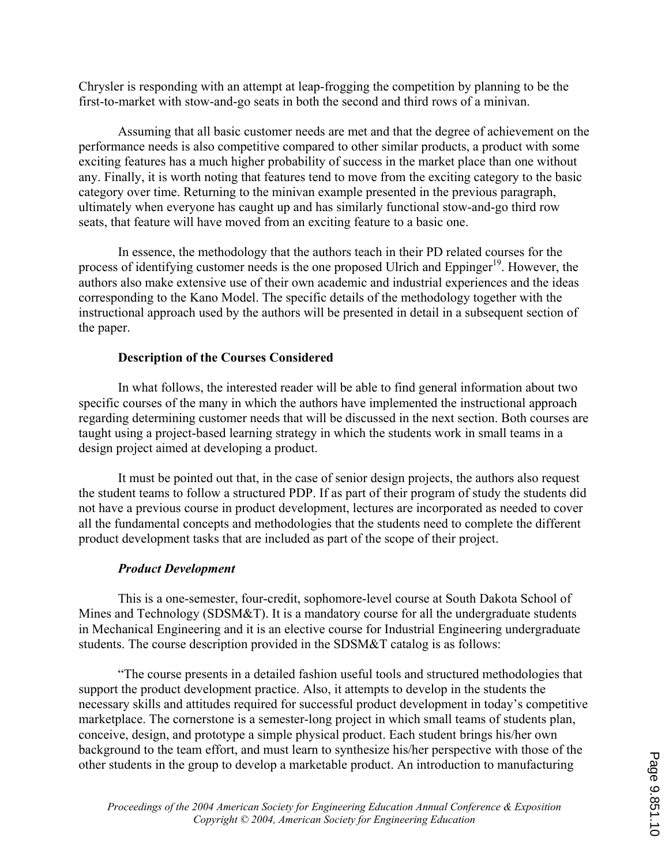Chrysler is responding with an attempt at leap-frogging the competition by planning to be the first-to-market with stow-and-go seats in both the second and third rows of a minivan.

Assuming that all basic customer needs are met and that the degree of achievement on the performance needs is also competitive compared to other similar products, a product with some exciting features has a much higher probability of success in the market place than one without any. Finally, it is worth noting that features tend to move from the exciting category to the basic category over time. Returning to the minivan example presented in the previous paragraph, ultimately when everyone has caught up and has similarly functional stow-and-go third row seats, that feature will have moved from an exciting feature to a basic one.

In essence, the methodology that the authors teach in their PD related courses for the process of identifying customer needs is the one proposed Ulrich and Eppinger<sup>19</sup>. However, the authors also make extensive use of their own academic and industrial experiences and the ideas corresponding to the Kano Model. The specific details of the methodology together with the instructional approach used by the authors will be presented in detail in a subsequent section of the paper.

### **Description of the Courses Considered**

 In what follows, the interested reader will be able to find general information about two specific courses of the many in which the authors have implemented the instructional approach regarding determining customer needs that will be discussed in the next section. Both courses are taught using a project-based learning strategy in which the students work in small teams in a design project aimed at developing a product.

 It must be pointed out that, in the case of senior design projects, the authors also request the student teams to follow a structured PDP. If as part of their program of study the students did not have a previous course in product development, lectures are incorporated as needed to cover all the fundamental concepts and methodologies that the students need to complete the different product development tasks that are included as part of the scope of their project.

## *Product Development*

This is a one-semester, four-credit, sophomore-level course at South Dakota School of Mines and Technology (SDSM&T). It is a mandatory course for all the undergraduate students in Mechanical Engineering and it is an elective course for Industrial Engineering undergraduate students. The course description provided in the SDSM&T catalog is as follows:

"The course presents in a detailed fashion useful tools and structured methodologies that support the product development practice. Also, it attempts to develop in the students the necessary skills and attitudes required for successful product development in today's competitive marketplace. The cornerstone is a semester-long project in which small teams of students plan, conceive, design, and prototype a simple physical product. Each student brings his/her own background to the team effort, and must learn to synthesize his/her perspective with those of the other students in the group to develop a marketable product. An introduction to manufacturing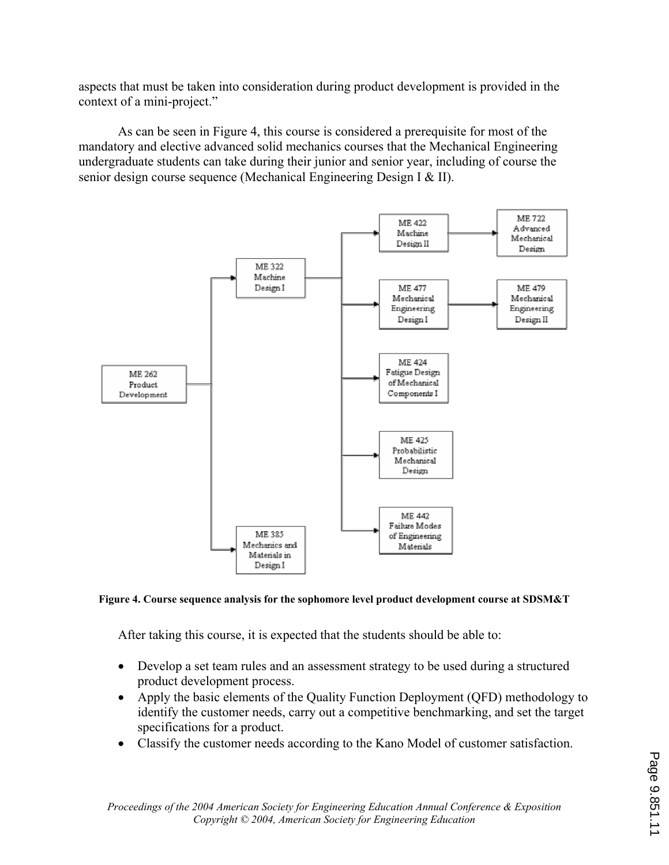aspects that must be taken into consideration during product development is provided in the context of a mini-project."

As can be seen in Figure 4, this course is considered a prerequisite for most of the mandatory and elective advanced solid mechanics courses that the Mechanical Engineering undergraduate students can take during their junior and senior year, including of course the senior design course sequence (Mechanical Engineering Design I & II).



#### **Figure 4. Course sequence analysis for the sophomore level product development course at SDSM&T**

After taking this course, it is expected that the students should be able to:

- $\bullet$ Develop a set team rules and an assessment strategy to be used during a structured product development process.
- Apply the basic elements of the Quality Function Deployment (QFD) methodology to identify the customer needs, carry out a competitive benchmarking, and set the target specifications for a product.
- $\bullet$ Classify the customer needs according to the Kano Model of customer satisfaction.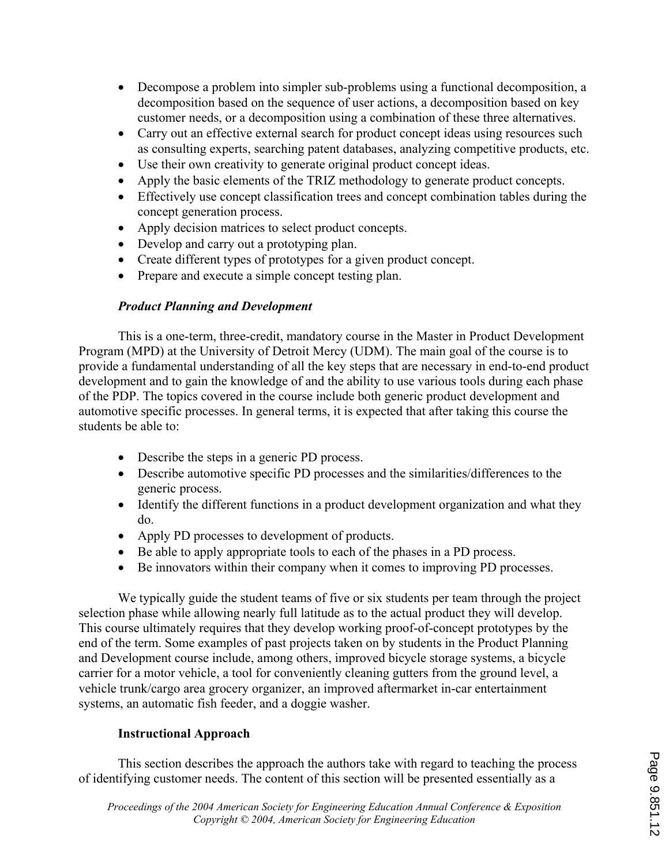- Decompose a problem into simpler sub-problems using a functional decomposition, a ' decomposition based on the sequence of user actions, a decomposition based on key customer needs, or a decomposition using a combination of these three alternatives.
- Carry out an effective external search for product concept ideas using resources such as consulting experts, searching patent databases, analyzing competitive products, etc.
- ' Use their own creativity to generate original product concept ideas.
- ' Apply the basic elements of the TRIZ methodology to generate product concepts.
- ' Effectively use concept classification trees and concept combination tables during the concept generation process.
- Apply decision matrices to select product concepts.
- Develop and carry out a prototyping plan.
- ' Create different types of prototypes for a given product concept.
- ' Prepare and execute a simple concept testing plan.

## *Product Planning and Development*

This is a one-term, three-credit, mandatory course in the Master in Product Development Program (MPD) at the University of Detroit Mercy (UDM). The main goal of the course is to provide a fundamental understanding of all the key steps that are necessary in end-to-end product development and to gain the knowledge of and the ability to use various tools during each phase of the PDP. The topics covered in the course include both generic product development and automotive specific processes. In general terms, it is expected that after taking this course the students be able to:

- ' Describe the steps in a generic PD process.
- ' Describe automotive specific PD processes and the similarities/differences to the generic process.
- Identify the different functions in a product development organization and what they do.
- ' Apply PD processes to development of products.
- ' Be able to apply appropriate tools to each of the phases in a PD process.
- ' Be innovators within their company when it comes to improving PD processes.

We typically guide the student teams of five or six students per team through the project selection phase while allowing nearly full latitude as to the actual product they will develop. This course ultimately requires that they develop working proof-of-concept prototypes by the end of the term. Some examples of past projects taken on by students in the Product Planning and Development course include, among others, improved bicycle storage systems, a bicycle carrier for a motor vehicle, a tool for conveniently cleaning gutters from the ground level, a vehicle trunk/cargo area grocery organizer, an improved aftermarket in-car entertainment systems, an automatic fish feeder, and a doggie washer.

# **Instructional Approach**

This section describes the approach the authors take with regard to teaching the process of identifying customer needs. The content of this section will be presented essentially as a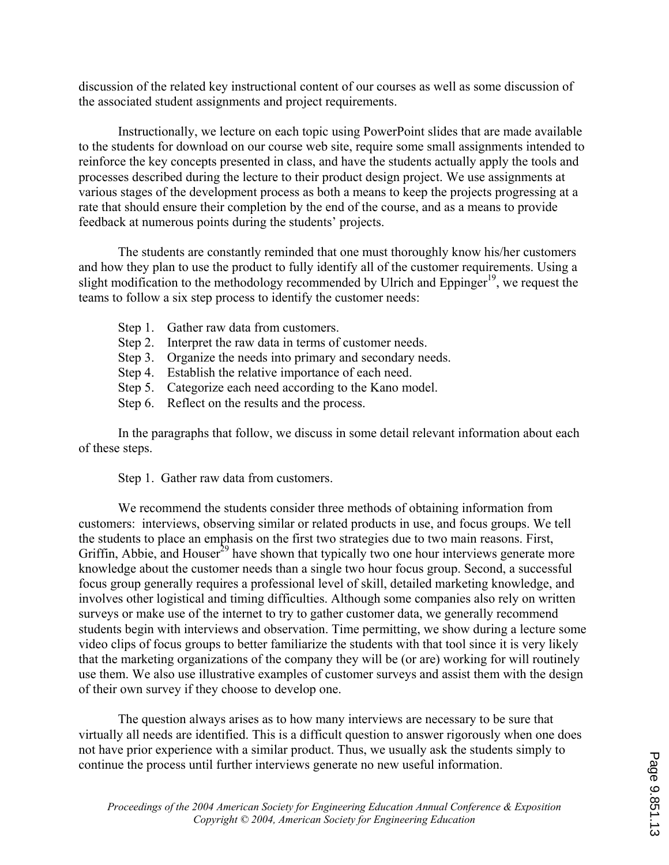discussion of the related key instructional content of our courses as well as some discussion of the associated student assignments and project requirements.

Instructionally, we lecture on each topic using PowerPoint slides that are made available to the students for download on our course web site, require some small assignments intended to reinforce the key concepts presented in class, and have the students actually apply the tools and processes described during the lecture to their product design project. We use assignments at various stages of the development process as both a means to keep the projects progressing at a rate that should ensure their completion by the end of the course, and as a means to provide feedback at numerous points during the students' projects.

The students are constantly reminded that one must thoroughly know his/her customers and how they plan to use the product to fully identify all of the customer requirements. Using a slight modification to the methodology recommended by Ulrich and Eppinger<sup>19</sup>, we request the teams to follow a six step process to identify the customer needs:

- Step 1. Gather raw data from customers.
- Step 2. Interpret the raw data in terms of customer needs.
- Step 3. Organize the needs into primary and secondary needs.
- Step 4. Establish the relative importance of each need.
- Step 5. Categorize each need according to the Kano model.
- Step 6. Reflect on the results and the process.

In the paragraphs that follow, we discuss in some detail relevant information about each of these steps.

Step 1. Gather raw data from customers.

We recommend the students consider three methods of obtaining information from customers: interviews, observing similar or related products in use, and focus groups. We tell the students to place an emphasis on the first two strategies due to two main reasons. First, Griffin, Abbie, and Houser<sup>29</sup> have shown that typically two one hour interviews generate more knowledge about the customer needs than a single two hour focus group. Second, a successful focus group generally requires a professional level of skill, detailed marketing knowledge, and involves other logistical and timing difficulties. Although some companies also rely on written surveys or make use of the internet to try to gather customer data, we generally recommend students begin with interviews and observation. Time permitting, we show during a lecture some video clips of focus groups to better familiarize the students with that tool since it is very likely that the marketing organizations of the company they will be (or are) working for will routinely use them. We also use illustrative examples of customer surveys and assist them with the design of their own survey if they choose to develop one.

The question always arises as to how many interviews are necessary to be sure that virtually all needs are identified. This is a difficult question to answer rigorously when one does not have prior experience with a similar product. Thus, we usually ask the students simply to continue the process until further interviews generate no new useful information.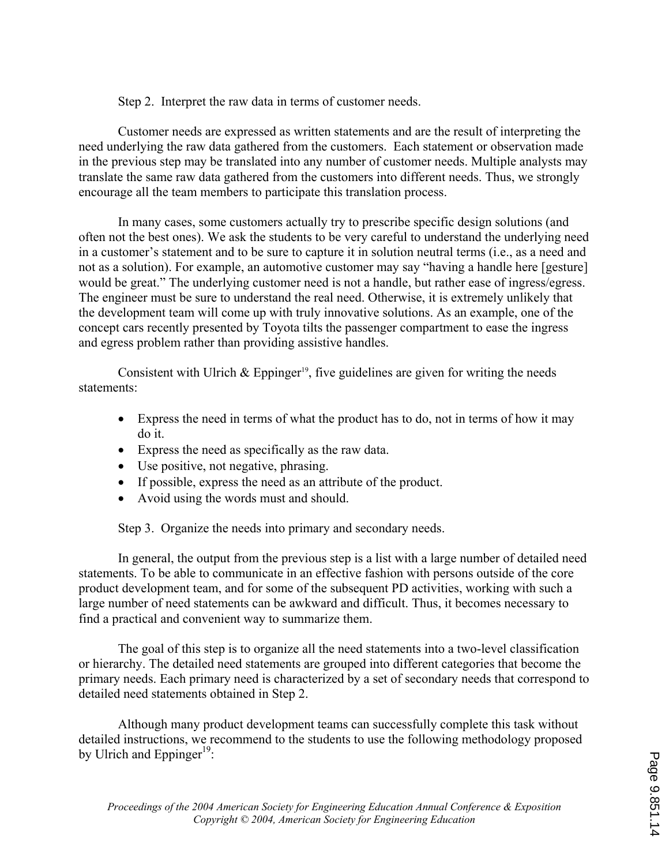Step 2. Interpret the raw data in terms of customer needs.

Customer needs are expressed as written statements and are the result of interpreting the need underlying the raw data gathered from the customers. Each statement or observation made in the previous step may be translated into any number of customer needs. Multiple analysts may translate the same raw data gathered from the customers into different needs. Thus, we strongly encourage all the team members to participate this translation process.

In many cases, some customers actually try to prescribe specific design solutions (and often not the best ones). We ask the students to be very careful to understand the underlying need in a customer's statement and to be sure to capture it in solution neutral terms (i.e., as a need and not as a solution). For example, an automotive customer may say "having a handle here [gesture] would be great." The underlying customer need is not a handle, but rather ease of ingress/egress. The engineer must be sure to understand the real need. Otherwise, it is extremely unlikely that the development team will come up with truly innovative solutions. As an example, one of the concept cars recently presented by Toyota tilts the passenger compartment to ease the ingress and egress problem rather than providing assistive handles.

Consistent with Ulrich  $\&$  Eppinger<sup>19</sup>, five guidelines are given for writing the needs statements:

- Express the need in terms of what the product has to do, not in terms of how it may do it.
- ' Express the need as specifically as the raw data.
- ' Use positive, not negative, phrasing.
- ' If possible, express the need as an attribute of the product.
- ' Avoid using the words must and should.

Step 3. Organize the needs into primary and secondary needs.

 In general, the output from the previous step is a list with a large number of detailed need statements. To be able to communicate in an effective fashion with persons outside of the core product development team, and for some of the subsequent PD activities, working with such a large number of need statements can be awkward and difficult. Thus, it becomes necessary to find a practical and convenient way to summarize them.

The goal of this step is to organize all the need statements into a two-level classification or hierarchy. The detailed need statements are grouped into different categories that become the primary needs. Each primary need is characterized by a set of secondary needs that correspond to detailed need statements obtained in Step 2.

Although many product development teams can successfully complete this task without detailed instructions, we recommend to the students to use the following methodology proposed by Ulrich and Eppinger<sup>19</sup>: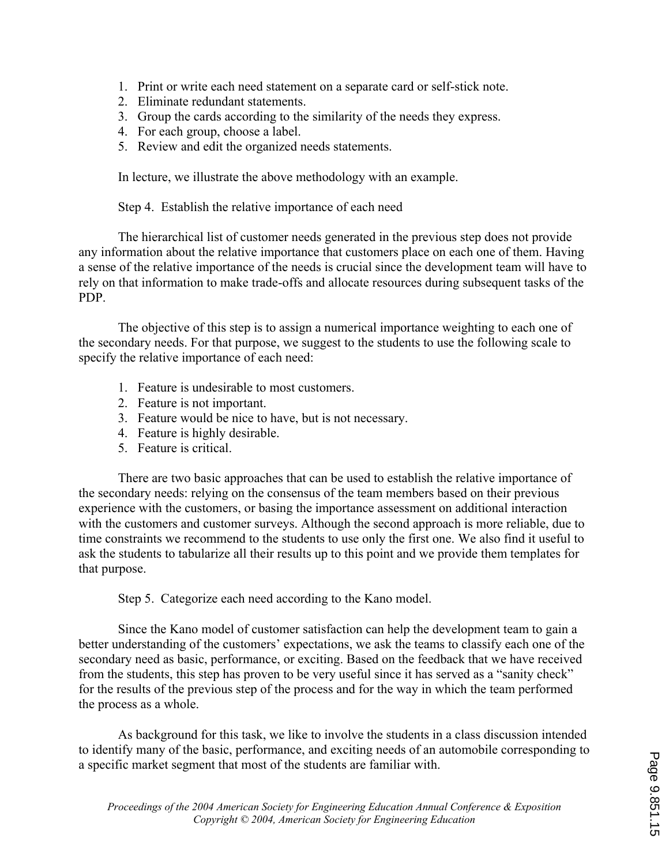- 1. Print or write each need statement on a separate card or self-stick note.
- 2. Eliminate redundant statements.
- 3. Group the cards according to the similarity of the needs they express.
- 4. For each group, choose a label.
- 5. Review and edit the organized needs statements.

In lecture, we illustrate the above methodology with an example.

Step 4. Establish the relative importance of each need

 The hierarchical list of customer needs generated in the previous step does not provide any information about the relative importance that customers place on each one of them. Having a sense of the relative importance of the needs is crucial since the development team will have to rely on that information to make trade-offs and allocate resources during subsequent tasks of the PDP.

The objective of this step is to assign a numerical importance weighting to each one of the secondary needs. For that purpose, we suggest to the students to use the following scale to specify the relative importance of each need:

- 1. Feature is undesirable to most customers.
- 2. Feature is not important.
- 3. Feature would be nice to have, but is not necessary.
- 4. Feature is highly desirable.
- 5. Feature is critical.

There are two basic approaches that can be used to establish the relative importance of the secondary needs: relying on the consensus of the team members based on their previous experience with the customers, or basing the importance assessment on additional interaction with the customers and customer surveys. Although the second approach is more reliable, due to time constraints we recommend to the students to use only the first one. We also find it useful to ask the students to tabularize all their results up to this point and we provide them templates for that purpose.

Step 5. Categorize each need according to the Kano model.

Since the Kano model of customer satisfaction can help the development team to gain a better understanding of the customers' expectations, we ask the teams to classify each one of the secondary need as basic, performance, or exciting. Based on the feedback that we have received from the students, this step has proven to be very useful since it has served as a "sanity check" for the results of the previous step of the process and for the way in which the team performed the process as a whole.

As background for this task, we like to involve the students in a class discussion intended to identify many of the basic, performance, and exciting needs of an automobile corresponding to a specific market segment that most of the students are familiar with.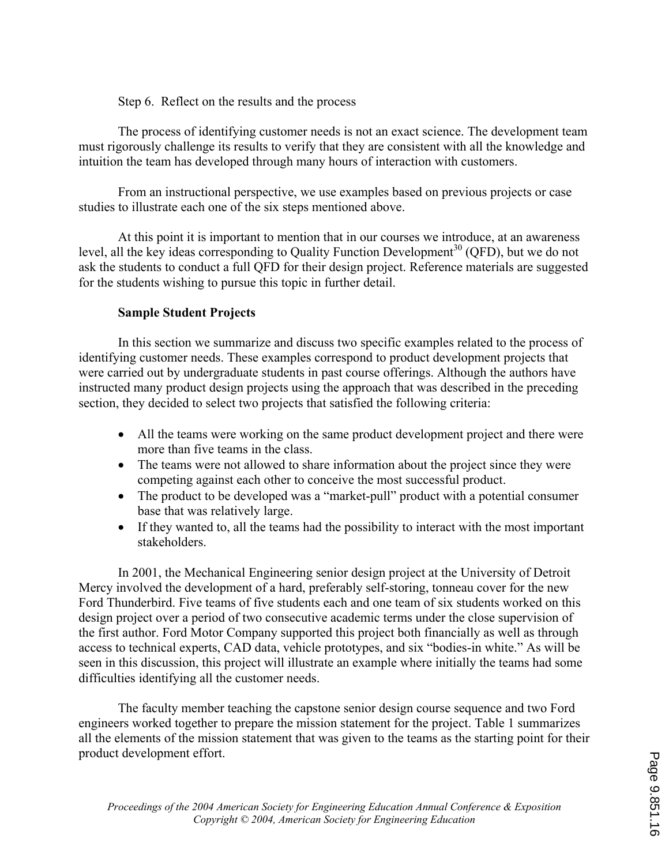### Step 6. Reflect on the results and the process

 The process of identifying customer needs is not an exact science. The development team must rigorously challenge its results to verify that they are consistent with all the knowledge and intuition the team has developed through many hours of interaction with customers.

From an instructional perspective, we use examples based on previous projects or case studies to illustrate each one of the six steps mentioned above.

At this point it is important to mention that in our courses we introduce, at an awareness level, all the key ideas corresponding to Quality Function Development<sup>30</sup> (QFD), but we do not ask the students to conduct a full QFD for their design project. Reference materials are suggested for the students wishing to pursue this topic in further detail.

## **Sample Student Projects**

In this section we summarize and discuss two specific examples related to the process of identifying customer needs. These examples correspond to product development projects that were carried out by undergraduate students in past course offerings. Although the authors have instructed many product design projects using the approach that was described in the preceding section, they decided to select two projects that satisfied the following criteria:

- ' All the teams were working on the same product development project and there were more than five teams in the class.
- The teams were not allowed to share information about the project since they were competing against each other to conceive the most successful product.
- The product to be developed was a "market-pull" product with a potential consumer base that was relatively large.
- ' If they wanted to, all the teams had the possibility to interact with the most important stakeholders.

In 2001, the Mechanical Engineering senior design project at the University of Detroit Mercy involved the development of a hard, preferably self-storing, tonneau cover for the new Ford Thunderbird. Five teams of five students each and one team of six students worked on this design project over a period of two consecutive academic terms under the close supervision of the first author. Ford Motor Company supported this project both financially as well as through access to technical experts, CAD data, vehicle prototypes, and six "bodies-in white." As will be seen in this discussion, this project will illustrate an example where initially the teams had some difficulties identifying all the customer needs.

The faculty member teaching the capstone senior design course sequence and two Ford engineers worked together to prepare the mission statement for the project. Table 1 summarizes all the elements of the mission statement that was given to the teams as the starting point for their product development effort.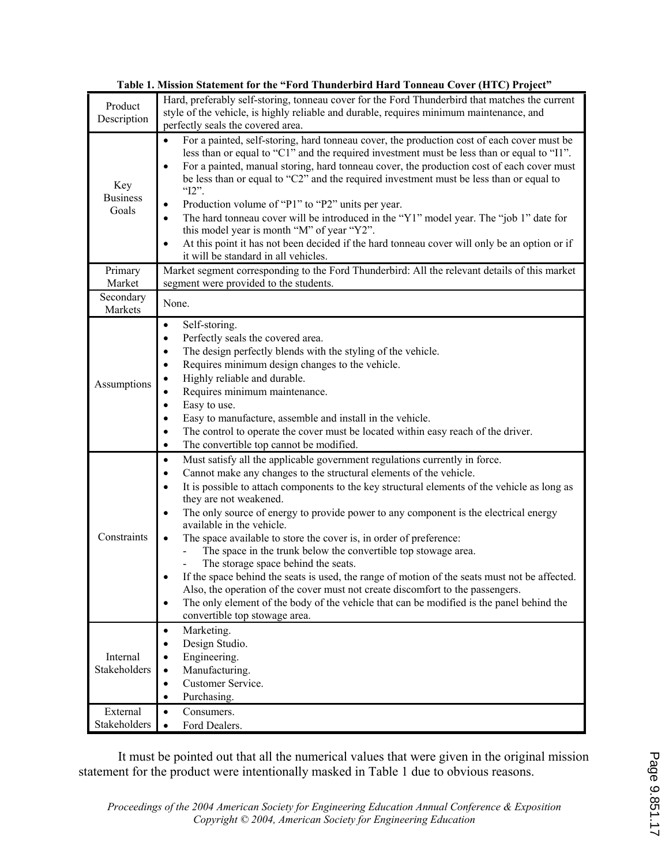|                                 | Tadie 1. Mission Statement for the "ford-financerdird Hard-fonneau Cover (HTC) Project                                                                                                                                                                                                                                                                                                                                                                                                                                                                                                                                                                                                                                                                                                                                                                                                                                                             |
|---------------------------------|----------------------------------------------------------------------------------------------------------------------------------------------------------------------------------------------------------------------------------------------------------------------------------------------------------------------------------------------------------------------------------------------------------------------------------------------------------------------------------------------------------------------------------------------------------------------------------------------------------------------------------------------------------------------------------------------------------------------------------------------------------------------------------------------------------------------------------------------------------------------------------------------------------------------------------------------------|
| Product<br>Description          | Hard, preferably self-storing, tonneau cover for the Ford Thunderbird that matches the current<br>style of the vehicle, is highly reliable and durable, requires minimum maintenance, and<br>perfectly seals the covered area.                                                                                                                                                                                                                                                                                                                                                                                                                                                                                                                                                                                                                                                                                                                     |
| Key<br><b>Business</b><br>Goals | For a painted, self-storing, hard tonneau cover, the production cost of each cover must be<br>$\bullet$<br>less than or equal to "C1" and the required investment must be less than or equal to "I1".<br>For a painted, manual storing, hard tonneau cover, the production cost of each cover must<br>$\bullet$<br>be less than or equal to "C2" and the required investment must be less than or equal to<br>" $12$ ".<br>Production volume of "P1" to "P2" units per year.<br>The hard tonneau cover will be introduced in the "Y1" model year. The "job 1" date for<br>this model year is month "M" of year "Y2".<br>At this point it has not been decided if the hard tonneau cover will only be an option or if<br>it will be standard in all vehicles.                                                                                                                                                                                       |
| Primary<br>Market               | Market segment corresponding to the Ford Thunderbird: All the relevant details of this market<br>segment were provided to the students.                                                                                                                                                                                                                                                                                                                                                                                                                                                                                                                                                                                                                                                                                                                                                                                                            |
| Secondary<br>Markets            | None.                                                                                                                                                                                                                                                                                                                                                                                                                                                                                                                                                                                                                                                                                                                                                                                                                                                                                                                                              |
| Assumptions                     | Self-storing.<br>$\bullet$<br>Perfectly seals the covered area.<br>$\bullet$<br>The design perfectly blends with the styling of the vehicle.<br>$\bullet$<br>Requires minimum design changes to the vehicle.<br>$\bullet$<br>Highly reliable and durable.<br>Requires minimum maintenance.<br>Easy to use.<br>$\bullet$<br>Easy to manufacture, assemble and install in the vehicle.<br>$\bullet$<br>The control to operate the cover must be located within easy reach of the driver.<br>$\bullet$<br>The convertible top cannot be modified.<br>$\bullet$                                                                                                                                                                                                                                                                                                                                                                                        |
| Constraints                     | Must satisfy all the applicable government regulations currently in force.<br>$\bullet$<br>Cannot make any changes to the structural elements of the vehicle.<br>$\bullet$<br>It is possible to attach components to the key structural elements of the vehicle as long as<br>$\bullet$<br>they are not weakened.<br>The only source of energy to provide power to any component is the electrical energy<br>available in the vehicle.<br>The space available to store the cover is, in order of preference:<br>The space in the trunk below the convertible top stowage area.<br>The storage space behind the seats.<br>If the space behind the seats is used, the range of motion of the seats must not be affected.<br>Also, the operation of the cover must not create discomfort to the passengers.<br>The only element of the body of the vehicle that can be modified is the panel behind the<br>$\bullet$<br>convertible top stowage area. |
| Internal<br>Stakeholders        | Marketing.<br>$\bullet$<br>Design Studio.<br>$\bullet$<br>Engineering.<br>$\bullet$<br>Manufacturing.<br>$\bullet$<br>Customer Service.<br>$\bullet$<br>Purchasing.<br>$\bullet$                                                                                                                                                                                                                                                                                                                                                                                                                                                                                                                                                                                                                                                                                                                                                                   |
| External<br>Stakeholders        | Consumers.<br>$\bullet$<br>Ford Dealers.<br>$\bullet$                                                                                                                                                                                                                                                                                                                                                                                                                                                                                                                                                                                                                                                                                                                                                                                                                                                                                              |

**Table 1. Mission Statement for the "Ford Thunderbird Hard Tonneau Cover (HTC) Project"** 

 It must be pointed out that all the numerical values that were given in the original mission statement for the product were intentionally masked in Table 1 due to obvious reasons.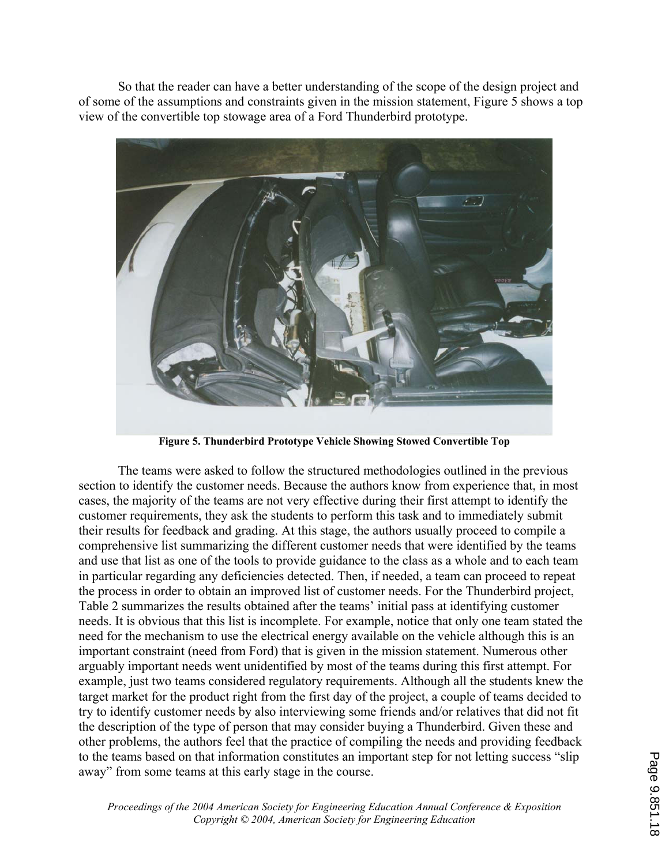So that the reader can have a better understanding of the scope of the design project and of some of the assumptions and constraints given in the mission statement, Figure 5 shows a top view of the convertible top stowage area of a Ford Thunderbird prototype.



**Figure 5. Thunderbird Prototype Vehicle Showing Stowed Convertible Top** 

 The teams were asked to follow the structured methodologies outlined in the previous section to identify the customer needs. Because the authors know from experience that, in most cases, the majority of the teams are not very effective during their first attempt to identify the customer requirements, they ask the students to perform this task and to immediately submit their results for feedback and grading. At this stage, the authors usually proceed to compile a comprehensive list summarizing the different customer needs that were identified by the teams and use that list as one of the tools to provide guidance to the class as a whole and to each team in particular regarding any deficiencies detected. Then, if needed, a team can proceed to repeat the process in order to obtain an improved list of customer needs. For the Thunderbird project, Table 2 summarizes the results obtained after the teams' initial pass at identifying customer needs. It is obvious that this list is incomplete. For example, notice that only one team stated the need for the mechanism to use the electrical energy available on the vehicle although this is an important constraint (need from Ford) that is given in the mission statement. Numerous other arguably important needs went unidentified by most of the teams during this first attempt. For example, just two teams considered regulatory requirements. Although all the students knew the target market for the product right from the first day of the project, a couple of teams decided to try to identify customer needs by also interviewing some friends and/or relatives that did not fit the description of the type of person that may consider buying a Thunderbird. Given these and other problems, the authors feel that the practice of compiling the needs and providing feedback to the teams based on that information constitutes an important step for not letting success "slip away" from some teams at this early stage in the course.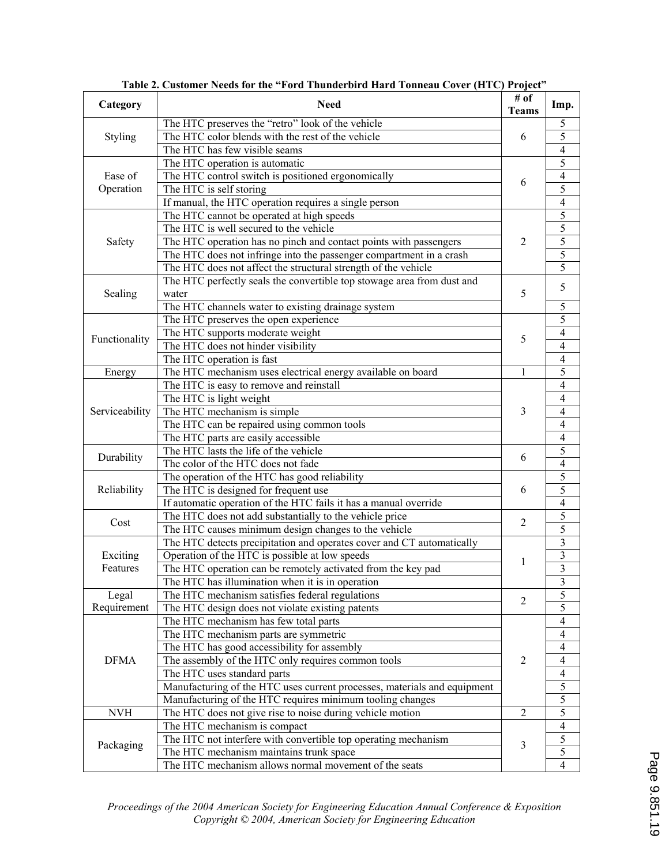| Category                                       | <b>Need</b>                                                                                                                                                                                                                                                                                                                                                                                                                                                                                                                                                                                                                                                                                                                                                                                                                                                                                                                                                                                                                                                                                                                                                                                                                                                                                                                                                                                                                                                                                                                                                                                                                                                                                                                                                                                                                                                                                                                                                                                                                                                                                                                                                                                                                                                                                                                                                                                                                                                                                                                                                                                                               | # of<br><b>Teams</b>                                                                                                          | Imp.                     |  |
|------------------------------------------------|---------------------------------------------------------------------------------------------------------------------------------------------------------------------------------------------------------------------------------------------------------------------------------------------------------------------------------------------------------------------------------------------------------------------------------------------------------------------------------------------------------------------------------------------------------------------------------------------------------------------------------------------------------------------------------------------------------------------------------------------------------------------------------------------------------------------------------------------------------------------------------------------------------------------------------------------------------------------------------------------------------------------------------------------------------------------------------------------------------------------------------------------------------------------------------------------------------------------------------------------------------------------------------------------------------------------------------------------------------------------------------------------------------------------------------------------------------------------------------------------------------------------------------------------------------------------------------------------------------------------------------------------------------------------------------------------------------------------------------------------------------------------------------------------------------------------------------------------------------------------------------------------------------------------------------------------------------------------------------------------------------------------------------------------------------------------------------------------------------------------------------------------------------------------------------------------------------------------------------------------------------------------------------------------------------------------------------------------------------------------------------------------------------------------------------------------------------------------------------------------------------------------------------------------------------------------------------------------------------------------------|-------------------------------------------------------------------------------------------------------------------------------|--------------------------|--|
|                                                |                                                                                                                                                                                                                                                                                                                                                                                                                                                                                                                                                                                                                                                                                                                                                                                                                                                                                                                                                                                                                                                                                                                                                                                                                                                                                                                                                                                                                                                                                                                                                                                                                                                                                                                                                                                                                                                                                                                                                                                                                                                                                                                                                                                                                                                                                                                                                                                                                                                                                                                                                                                                                           | 6<br>6<br>$\overline{2}$<br>5<br>5<br>$\mathbf{1}$<br>3<br>6<br>6<br>$\overline{2}$<br>1<br>2<br>$\overline{2}$<br>$\sqrt{2}$ | 5                        |  |
|                                                | The HTC color blends with the rest of the vehicle                                                                                                                                                                                                                                                                                                                                                                                                                                                                                                                                                                                                                                                                                                                                                                                                                                                                                                                                                                                                                                                                                                                                                                                                                                                                                                                                                                                                                                                                                                                                                                                                                                                                                                                                                                                                                                                                                                                                                                                                                                                                                                                                                                                                                                                                                                                                                                                                                                                                                                                                                                         |                                                                                                                               | $\overline{5}$           |  |
|                                                | The HTC has few visible seams                                                                                                                                                                                                                                                                                                                                                                                                                                                                                                                                                                                                                                                                                                                                                                                                                                                                                                                                                                                                                                                                                                                                                                                                                                                                                                                                                                                                                                                                                                                                                                                                                                                                                                                                                                                                                                                                                                                                                                                                                                                                                                                                                                                                                                                                                                                                                                                                                                                                                                                                                                                             |                                                                                                                               | $\overline{4}$           |  |
|                                                |                                                                                                                                                                                                                                                                                                                                                                                                                                                                                                                                                                                                                                                                                                                                                                                                                                                                                                                                                                                                                                                                                                                                                                                                                                                                                                                                                                                                                                                                                                                                                                                                                                                                                                                                                                                                                                                                                                                                                                                                                                                                                                                                                                                                                                                                                                                                                                                                                                                                                                                                                                                                                           |                                                                                                                               |                          |  |
| Ease of                                        | The HTC preserves the "retro" look of the vehicle<br><b>Styling</b><br>The HTC operation is automatic<br>The HTC control switch is positioned ergonomically<br>Operation<br>The HTC is self storing<br>If manual, the HTC operation requires a single person<br>The HTC cannot be operated at high speeds<br>The HTC is well secured to the vehicle<br>Safety<br>The HTC operation has no pinch and contact points with passengers<br>The HTC does not infringe into the passenger compartment in a crash<br>The HTC does not affect the structural strength of the vehicle<br>The HTC perfectly seals the convertible top stowage area from dust and<br>Sealing<br>water<br>The HTC channels water to existing drainage system<br>The HTC preserves the open experience<br>The HTC supports moderate weight<br>The HTC does not hinder visibility<br>The HTC operation is fast<br>The HTC mechanism uses electrical energy available on board<br>Energy<br>The HTC is easy to remove and reinstall<br>The HTC is light weight<br>The HTC mechanism is simple<br>The HTC can be repaired using common tools<br>The HTC parts are easily accessible<br>The HTC lasts the life of the vehicle<br>Durability<br>The color of the HTC does not fade<br>The operation of the HTC has good reliability<br>Reliability<br>The HTC is designed for frequent use<br>If automatic operation of the HTC fails it has a manual override<br>The HTC does not add substantially to the vehicle price<br>Cost<br>The HTC causes minimum design changes to the vehicle<br>The HTC detects precipitation and operates cover and CT automatically<br>Operation of the HTC is possible at low speeds<br>Exciting<br>Features<br>The HTC operation can be remotely activated from the key pad<br>The HTC has illumination when it is in operation<br>Legal<br>The HTC mechanism satisfies federal regulations<br>The HTC design does not violate existing patents<br>The HTC mechanism has few total parts<br>The HTC mechanism parts are symmetric<br>The HTC has good accessibility for assembly<br><b>DFMA</b><br>The assembly of the HTC only requires common tools<br>The HTC uses standard parts<br>Manufacturing of the HTC uses current processes, materials and equipment<br>Manufacturing of the HTC requires minimum tooling changes<br><b>NVH</b><br>The HTC does not give rise to noise during vehicle motion<br>The HTC mechanism is compact<br>The HTC not interfere with convertible top operating mechanism<br>Packaging<br>The HTC mechanism maintains trunk space<br>The HTC mechanism allows normal movement of the seats |                                                                                                                               | $\overline{4}$           |  |
| Functionality<br>Serviceability<br>Requirement |                                                                                                                                                                                                                                                                                                                                                                                                                                                                                                                                                                                                                                                                                                                                                                                                                                                                                                                                                                                                                                                                                                                                                                                                                                                                                                                                                                                                                                                                                                                                                                                                                                                                                                                                                                                                                                                                                                                                                                                                                                                                                                                                                                                                                                                                                                                                                                                                                                                                                                                                                                                                                           |                                                                                                                               | $\overline{5}$           |  |
|                                                |                                                                                                                                                                                                                                                                                                                                                                                                                                                                                                                                                                                                                                                                                                                                                                                                                                                                                                                                                                                                                                                                                                                                                                                                                                                                                                                                                                                                                                                                                                                                                                                                                                                                                                                                                                                                                                                                                                                                                                                                                                                                                                                                                                                                                                                                                                                                                                                                                                                                                                                                                                                                                           |                                                                                                                               | $\overline{4}$           |  |
|                                                |                                                                                                                                                                                                                                                                                                                                                                                                                                                                                                                                                                                                                                                                                                                                                                                                                                                                                                                                                                                                                                                                                                                                                                                                                                                                                                                                                                                                                                                                                                                                                                                                                                                                                                                                                                                                                                                                                                                                                                                                                                                                                                                                                                                                                                                                                                                                                                                                                                                                                                                                                                                                                           |                                                                                                                               |                          |  |
|                                                |                                                                                                                                                                                                                                                                                                                                                                                                                                                                                                                                                                                                                                                                                                                                                                                                                                                                                                                                                                                                                                                                                                                                                                                                                                                                                                                                                                                                                                                                                                                                                                                                                                                                                                                                                                                                                                                                                                                                                                                                                                                                                                                                                                                                                                                                                                                                                                                                                                                                                                                                                                                                                           |                                                                                                                               | $\frac{5}{5}$            |  |
|                                                |                                                                                                                                                                                                                                                                                                                                                                                                                                                                                                                                                                                                                                                                                                                                                                                                                                                                                                                                                                                                                                                                                                                                                                                                                                                                                                                                                                                                                                                                                                                                                                                                                                                                                                                                                                                                                                                                                                                                                                                                                                                                                                                                                                                                                                                                                                                                                                                                                                                                                                                                                                                                                           |                                                                                                                               | $\overline{5}$           |  |
|                                                |                                                                                                                                                                                                                                                                                                                                                                                                                                                                                                                                                                                                                                                                                                                                                                                                                                                                                                                                                                                                                                                                                                                                                                                                                                                                                                                                                                                                                                                                                                                                                                                                                                                                                                                                                                                                                                                                                                                                                                                                                                                                                                                                                                                                                                                                                                                                                                                                                                                                                                                                                                                                                           |                                                                                                                               | $\overline{5}$           |  |
|                                                |                                                                                                                                                                                                                                                                                                                                                                                                                                                                                                                                                                                                                                                                                                                                                                                                                                                                                                                                                                                                                                                                                                                                                                                                                                                                                                                                                                                                                                                                                                                                                                                                                                                                                                                                                                                                                                                                                                                                                                                                                                                                                                                                                                                                                                                                                                                                                                                                                                                                                                                                                                                                                           |                                                                                                                               | $\overline{5}$           |  |
|                                                |                                                                                                                                                                                                                                                                                                                                                                                                                                                                                                                                                                                                                                                                                                                                                                                                                                                                                                                                                                                                                                                                                                                                                                                                                                                                                                                                                                                                                                                                                                                                                                                                                                                                                                                                                                                                                                                                                                                                                                                                                                                                                                                                                                                                                                                                                                                                                                                                                                                                                                                                                                                                                           |                                                                                                                               | 5                        |  |
|                                                |                                                                                                                                                                                                                                                                                                                                                                                                                                                                                                                                                                                                                                                                                                                                                                                                                                                                                                                                                                                                                                                                                                                                                                                                                                                                                                                                                                                                                                                                                                                                                                                                                                                                                                                                                                                                                                                                                                                                                                                                                                                                                                                                                                                                                                                                                                                                                                                                                                                                                                                                                                                                                           |                                                                                                                               |                          |  |
|                                                |                                                                                                                                                                                                                                                                                                                                                                                                                                                                                                                                                                                                                                                                                                                                                                                                                                                                                                                                                                                                                                                                                                                                                                                                                                                                                                                                                                                                                                                                                                                                                                                                                                                                                                                                                                                                                                                                                                                                                                                                                                                                                                                                                                                                                                                                                                                                                                                                                                                                                                                                                                                                                           |                                                                                                                               | $\sqrt{5}$               |  |
|                                                |                                                                                                                                                                                                                                                                                                                                                                                                                                                                                                                                                                                                                                                                                                                                                                                                                                                                                                                                                                                                                                                                                                                                                                                                                                                                                                                                                                                                                                                                                                                                                                                                                                                                                                                                                                                                                                                                                                                                                                                                                                                                                                                                                                                                                                                                                                                                                                                                                                                                                                                                                                                                                           |                                                                                                                               | 5                        |  |
|                                                |                                                                                                                                                                                                                                                                                                                                                                                                                                                                                                                                                                                                                                                                                                                                                                                                                                                                                                                                                                                                                                                                                                                                                                                                                                                                                                                                                                                                                                                                                                                                                                                                                                                                                                                                                                                                                                                                                                                                                                                                                                                                                                                                                                                                                                                                                                                                                                                                                                                                                                                                                                                                                           |                                                                                                                               | $\overline{4}$           |  |
|                                                |                                                                                                                                                                                                                                                                                                                                                                                                                                                                                                                                                                                                                                                                                                                                                                                                                                                                                                                                                                                                                                                                                                                                                                                                                                                                                                                                                                                                                                                                                                                                                                                                                                                                                                                                                                                                                                                                                                                                                                                                                                                                                                                                                                                                                                                                                                                                                                                                                                                                                                                                                                                                                           |                                                                                                                               | $\overline{4}$           |  |
|                                                |                                                                                                                                                                                                                                                                                                                                                                                                                                                                                                                                                                                                                                                                                                                                                                                                                                                                                                                                                                                                                                                                                                                                                                                                                                                                                                                                                                                                                                                                                                                                                                                                                                                                                                                                                                                                                                                                                                                                                                                                                                                                                                                                                                                                                                                                                                                                                                                                                                                                                                                                                                                                                           |                                                                                                                               | $\overline{4}$           |  |
|                                                |                                                                                                                                                                                                                                                                                                                                                                                                                                                                                                                                                                                                                                                                                                                                                                                                                                                                                                                                                                                                                                                                                                                                                                                                                                                                                                                                                                                                                                                                                                                                                                                                                                                                                                                                                                                                                                                                                                                                                                                                                                                                                                                                                                                                                                                                                                                                                                                                                                                                                                                                                                                                                           |                                                                                                                               | 5                        |  |
|                                                |                                                                                                                                                                                                                                                                                                                                                                                                                                                                                                                                                                                                                                                                                                                                                                                                                                                                                                                                                                                                                                                                                                                                                                                                                                                                                                                                                                                                                                                                                                                                                                                                                                                                                                                                                                                                                                                                                                                                                                                                                                                                                                                                                                                                                                                                                                                                                                                                                                                                                                                                                                                                                           |                                                                                                                               | $\overline{4}$           |  |
|                                                |                                                                                                                                                                                                                                                                                                                                                                                                                                                                                                                                                                                                                                                                                                                                                                                                                                                                                                                                                                                                                                                                                                                                                                                                                                                                                                                                                                                                                                                                                                                                                                                                                                                                                                                                                                                                                                                                                                                                                                                                                                                                                                                                                                                                                                                                                                                                                                                                                                                                                                                                                                                                                           |                                                                                                                               | $\overline{\mathcal{L}}$ |  |
|                                                |                                                                                                                                                                                                                                                                                                                                                                                                                                                                                                                                                                                                                                                                                                                                                                                                                                                                                                                                                                                                                                                                                                                                                                                                                                                                                                                                                                                                                                                                                                                                                                                                                                                                                                                                                                                                                                                                                                                                                                                                                                                                                                                                                                                                                                                                                                                                                                                                                                                                                                                                                                                                                           |                                                                                                                               | $\overline{4}$           |  |
|                                                |                                                                                                                                                                                                                                                                                                                                                                                                                                                                                                                                                                                                                                                                                                                                                                                                                                                                                                                                                                                                                                                                                                                                                                                                                                                                                                                                                                                                                                                                                                                                                                                                                                                                                                                                                                                                                                                                                                                                                                                                                                                                                                                                                                                                                                                                                                                                                                                                                                                                                                                                                                                                                           |                                                                                                                               | $\overline{4}$           |  |
|                                                |                                                                                                                                                                                                                                                                                                                                                                                                                                                                                                                                                                                                                                                                                                                                                                                                                                                                                                                                                                                                                                                                                                                                                                                                                                                                                                                                                                                                                                                                                                                                                                                                                                                                                                                                                                                                                                                                                                                                                                                                                                                                                                                                                                                                                                                                                                                                                                                                                                                                                                                                                                                                                           |                                                                                                                               | $\overline{4}$           |  |
|                                                |                                                                                                                                                                                                                                                                                                                                                                                                                                                                                                                                                                                                                                                                                                                                                                                                                                                                                                                                                                                                                                                                                                                                                                                                                                                                                                                                                                                                                                                                                                                                                                                                                                                                                                                                                                                                                                                                                                                                                                                                                                                                                                                                                                                                                                                                                                                                                                                                                                                                                                                                                                                                                           |                                                                                                                               | 5                        |  |
|                                                |                                                                                                                                                                                                                                                                                                                                                                                                                                                                                                                                                                                                                                                                                                                                                                                                                                                                                                                                                                                                                                                                                                                                                                                                                                                                                                                                                                                                                                                                                                                                                                                                                                                                                                                                                                                                                                                                                                                                                                                                                                                                                                                                                                                                                                                                                                                                                                                                                                                                                                                                                                                                                           |                                                                                                                               | $\overline{4}$           |  |
|                                                |                                                                                                                                                                                                                                                                                                                                                                                                                                                                                                                                                                                                                                                                                                                                                                                                                                                                                                                                                                                                                                                                                                                                                                                                                                                                                                                                                                                                                                                                                                                                                                                                                                                                                                                                                                                                                                                                                                                                                                                                                                                                                                                                                                                                                                                                                                                                                                                                                                                                                                                                                                                                                           |                                                                                                                               | $\overline{5}$           |  |
|                                                |                                                                                                                                                                                                                                                                                                                                                                                                                                                                                                                                                                                                                                                                                                                                                                                                                                                                                                                                                                                                                                                                                                                                                                                                                                                                                                                                                                                                                                                                                                                                                                                                                                                                                                                                                                                                                                                                                                                                                                                                                                                                                                                                                                                                                                                                                                                                                                                                                                                                                                                                                                                                                           |                                                                                                                               | $\overline{5}$           |  |
|                                                |                                                                                                                                                                                                                                                                                                                                                                                                                                                                                                                                                                                                                                                                                                                                                                                                                                                                                                                                                                                                                                                                                                                                                                                                                                                                                                                                                                                                                                                                                                                                                                                                                                                                                                                                                                                                                                                                                                                                                                                                                                                                                                                                                                                                                                                                                                                                                                                                                                                                                                                                                                                                                           |                                                                                                                               | $\overline{4}$           |  |
|                                                |                                                                                                                                                                                                                                                                                                                                                                                                                                                                                                                                                                                                                                                                                                                                                                                                                                                                                                                                                                                                                                                                                                                                                                                                                                                                                                                                                                                                                                                                                                                                                                                                                                                                                                                                                                                                                                                                                                                                                                                                                                                                                                                                                                                                                                                                                                                                                                                                                                                                                                                                                                                                                           |                                                                                                                               | $\overline{5}$           |  |
|                                                |                                                                                                                                                                                                                                                                                                                                                                                                                                                                                                                                                                                                                                                                                                                                                                                                                                                                                                                                                                                                                                                                                                                                                                                                                                                                                                                                                                                                                                                                                                                                                                                                                                                                                                                                                                                                                                                                                                                                                                                                                                                                                                                                                                                                                                                                                                                                                                                                                                                                                                                                                                                                                           |                                                                                                                               | $\overline{5}$           |  |
|                                                |                                                                                                                                                                                                                                                                                                                                                                                                                                                                                                                                                                                                                                                                                                                                                                                                                                                                                                                                                                                                                                                                                                                                                                                                                                                                                                                                                                                                                                                                                                                                                                                                                                                                                                                                                                                                                                                                                                                                                                                                                                                                                                                                                                                                                                                                                                                                                                                                                                                                                                                                                                                                                           |                                                                                                                               | $\overline{\mathbf{3}}$  |  |
|                                                |                                                                                                                                                                                                                                                                                                                                                                                                                                                                                                                                                                                                                                                                                                                                                                                                                                                                                                                                                                                                                                                                                                                                                                                                                                                                                                                                                                                                                                                                                                                                                                                                                                                                                                                                                                                                                                                                                                                                                                                                                                                                                                                                                                                                                                                                                                                                                                                                                                                                                                                                                                                                                           |                                                                                                                               | $\overline{3}$           |  |
|                                                |                                                                                                                                                                                                                                                                                                                                                                                                                                                                                                                                                                                                                                                                                                                                                                                                                                                                                                                                                                                                                                                                                                                                                                                                                                                                                                                                                                                                                                                                                                                                                                                                                                                                                                                                                                                                                                                                                                                                                                                                                                                                                                                                                                                                                                                                                                                                                                                                                                                                                                                                                                                                                           |                                                                                                                               | $\overline{3}$           |  |
|                                                |                                                                                                                                                                                                                                                                                                                                                                                                                                                                                                                                                                                                                                                                                                                                                                                                                                                                                                                                                                                                                                                                                                                                                                                                                                                                                                                                                                                                                                                                                                                                                                                                                                                                                                                                                                                                                                                                                                                                                                                                                                                                                                                                                                                                                                                                                                                                                                                                                                                                                                                                                                                                                           |                                                                                                                               | $\overline{\mathbf{3}}$  |  |
|                                                |                                                                                                                                                                                                                                                                                                                                                                                                                                                                                                                                                                                                                                                                                                                                                                                                                                                                                                                                                                                                                                                                                                                                                                                                                                                                                                                                                                                                                                                                                                                                                                                                                                                                                                                                                                                                                                                                                                                                                                                                                                                                                                                                                                                                                                                                                                                                                                                                                                                                                                                                                                                                                           |                                                                                                                               | 5                        |  |
|                                                |                                                                                                                                                                                                                                                                                                                                                                                                                                                                                                                                                                                                                                                                                                                                                                                                                                                                                                                                                                                                                                                                                                                                                                                                                                                                                                                                                                                                                                                                                                                                                                                                                                                                                                                                                                                                                                                                                                                                                                                                                                                                                                                                                                                                                                                                                                                                                                                                                                                                                                                                                                                                                           |                                                                                                                               | 5                        |  |
|                                                |                                                                                                                                                                                                                                                                                                                                                                                                                                                                                                                                                                                                                                                                                                                                                                                                                                                                                                                                                                                                                                                                                                                                                                                                                                                                                                                                                                                                                                                                                                                                                                                                                                                                                                                                                                                                                                                                                                                                                                                                                                                                                                                                                                                                                                                                                                                                                                                                                                                                                                                                                                                                                           |                                                                                                                               | $\overline{\mathcal{L}}$ |  |
|                                                |                                                                                                                                                                                                                                                                                                                                                                                                                                                                                                                                                                                                                                                                                                                                                                                                                                                                                                                                                                                                                                                                                                                                                                                                                                                                                                                                                                                                                                                                                                                                                                                                                                                                                                                                                                                                                                                                                                                                                                                                                                                                                                                                                                                                                                                                                                                                                                                                                                                                                                                                                                                                                           |                                                                                                                               | $\overline{\mathcal{A}}$ |  |
|                                                |                                                                                                                                                                                                                                                                                                                                                                                                                                                                                                                                                                                                                                                                                                                                                                                                                                                                                                                                                                                                                                                                                                                                                                                                                                                                                                                                                                                                                                                                                                                                                                                                                                                                                                                                                                                                                                                                                                                                                                                                                                                                                                                                                                                                                                                                                                                                                                                                                                                                                                                                                                                                                           |                                                                                                                               | $\overline{4}$           |  |
|                                                |                                                                                                                                                                                                                                                                                                                                                                                                                                                                                                                                                                                                                                                                                                                                                                                                                                                                                                                                                                                                                                                                                                                                                                                                                                                                                                                                                                                                                                                                                                                                                                                                                                                                                                                                                                                                                                                                                                                                                                                                                                                                                                                                                                                                                                                                                                                                                                                                                                                                                                                                                                                                                           |                                                                                                                               | $\overline{\mathcal{A}}$ |  |
|                                                |                                                                                                                                                                                                                                                                                                                                                                                                                                                                                                                                                                                                                                                                                                                                                                                                                                                                                                                                                                                                                                                                                                                                                                                                                                                                                                                                                                                                                                                                                                                                                                                                                                                                                                                                                                                                                                                                                                                                                                                                                                                                                                                                                                                                                                                                                                                                                                                                                                                                                                                                                                                                                           |                                                                                                                               | $\overline{\mathcal{L}}$ |  |
|                                                |                                                                                                                                                                                                                                                                                                                                                                                                                                                                                                                                                                                                                                                                                                                                                                                                                                                                                                                                                                                                                                                                                                                                                                                                                                                                                                                                                                                                                                                                                                                                                                                                                                                                                                                                                                                                                                                                                                                                                                                                                                                                                                                                                                                                                                                                                                                                                                                                                                                                                                                                                                                                                           |                                                                                                                               | $\frac{5}{5}$            |  |
|                                                |                                                                                                                                                                                                                                                                                                                                                                                                                                                                                                                                                                                                                                                                                                                                                                                                                                                                                                                                                                                                                                                                                                                                                                                                                                                                                                                                                                                                                                                                                                                                                                                                                                                                                                                                                                                                                                                                                                                                                                                                                                                                                                                                                                                                                                                                                                                                                                                                                                                                                                                                                                                                                           |                                                                                                                               |                          |  |
|                                                |                                                                                                                                                                                                                                                                                                                                                                                                                                                                                                                                                                                                                                                                                                                                                                                                                                                                                                                                                                                                                                                                                                                                                                                                                                                                                                                                                                                                                                                                                                                                                                                                                                                                                                                                                                                                                                                                                                                                                                                                                                                                                                                                                                                                                                                                                                                                                                                                                                                                                                                                                                                                                           |                                                                                                                               | $\overline{5}$           |  |
|                                                |                                                                                                                                                                                                                                                                                                                                                                                                                                                                                                                                                                                                                                                                                                                                                                                                                                                                                                                                                                                                                                                                                                                                                                                                                                                                                                                                                                                                                                                                                                                                                                                                                                                                                                                                                                                                                                                                                                                                                                                                                                                                                                                                                                                                                                                                                                                                                                                                                                                                                                                                                                                                                           |                                                                                                                               | $\overline{4}$           |  |
|                                                |                                                                                                                                                                                                                                                                                                                                                                                                                                                                                                                                                                                                                                                                                                                                                                                                                                                                                                                                                                                                                                                                                                                                                                                                                                                                                                                                                                                                                                                                                                                                                                                                                                                                                                                                                                                                                                                                                                                                                                                                                                                                                                                                                                                                                                                                                                                                                                                                                                                                                                                                                                                                                           | 3                                                                                                                             | $\overline{5}$           |  |
|                                                |                                                                                                                                                                                                                                                                                                                                                                                                                                                                                                                                                                                                                                                                                                                                                                                                                                                                                                                                                                                                                                                                                                                                                                                                                                                                                                                                                                                                                                                                                                                                                                                                                                                                                                                                                                                                                                                                                                                                                                                                                                                                                                                                                                                                                                                                                                                                                                                                                                                                                                                                                                                                                           |                                                                                                                               | $\overline{5}$           |  |
|                                                |                                                                                                                                                                                                                                                                                                                                                                                                                                                                                                                                                                                                                                                                                                                                                                                                                                                                                                                                                                                                                                                                                                                                                                                                                                                                                                                                                                                                                                                                                                                                                                                                                                                                                                                                                                                                                                                                                                                                                                                                                                                                                                                                                                                                                                                                                                                                                                                                                                                                                                                                                                                                                           |                                                                                                                               | $\overline{4}$           |  |

**Table 2. Customer Needs for the "Ford Thunderbird Hard Tonneau Cover (HTC) Project"**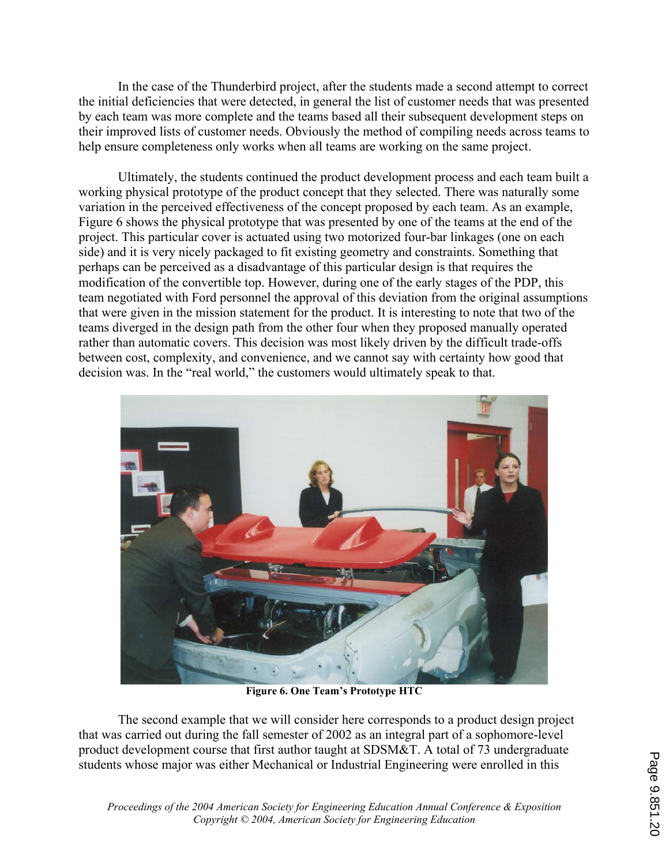In the case of the Thunderbird project, after the students made a second attempt to correct the initial deficiencies that were detected, in general the list of customer needs that was presented by each team was more complete and the teams based all their subsequent development steps on their improved lists of customer needs. Obviously the method of compiling needs across teams to help ensure completeness only works when all teams are working on the same project.

 Ultimately, the students continued the product development process and each team built a working physical prototype of the product concept that they selected. There was naturally some variation in the perceived effectiveness of the concept proposed by each team. As an example, Figure 6 shows the physical prototype that was presented by one of the teams at the end of the project. This particular cover is actuated using two motorized four-bar linkages (one on each side) and it is very nicely packaged to fit existing geometry and constraints. Something that perhaps can be perceived as a disadvantage of this particular design is that requires the modification of the convertible top. However, during one of the early stages of the PDP, this team negotiated with Ford personnel the approval of this deviation from the original assumptions that were given in the mission statement for the product. It is interesting to note that two of the teams diverged in the design path from the other four when they proposed manually operated rather than automatic covers. This decision was most likely driven by the difficult trade-offs between cost, complexity, and convenience, and we cannot say with certainty how good that decision was. In the "real world," the customers would ultimately speak to that.



**Figure 6. One Team's Prototype HTC** 

 The second example that we will consider here corresponds to a product design project that was carried out during the fall semester of 2002 as an integral part of a sophomore-level product development course that first author taught at SDSM&T. A total of 73 undergraduate students whose major was either Mechanical or Industrial Engineering were enrolled in this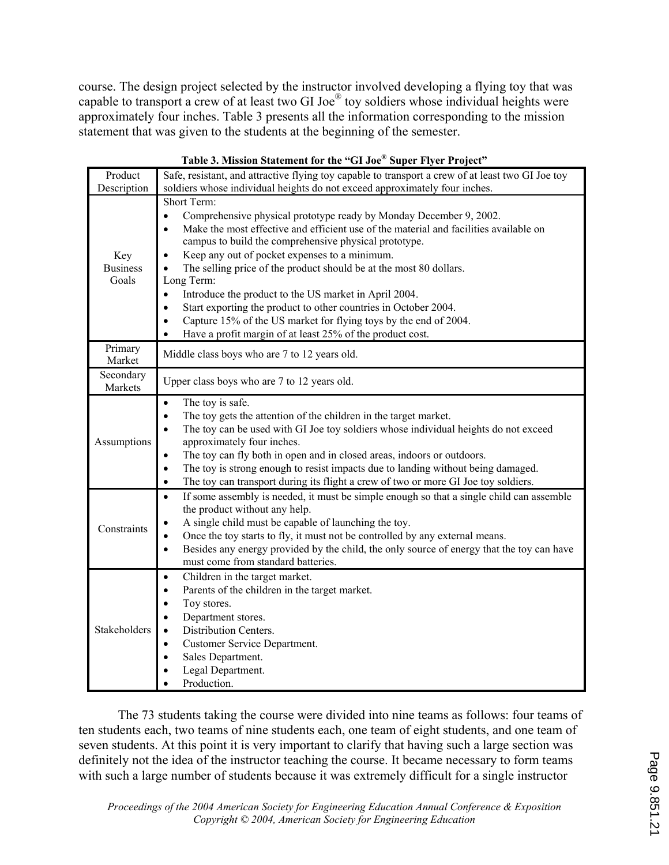course. The design project selected by the instructor involved developing a flying toy that was capable to transport a crew of at least two GI Joe® toy soldiers whose individual heights were approximately four inches. Table 3 presents all the information corresponding to the mission statement that was given to the students at the beginning of the semester.

|                                 | radic 9. mission statement for the Arooc Super river Froject                                                                                                                                                                                                                                                                                                                                                                                                                                                                                                                                                                                                                                                        |  |  |  |  |  |  |
|---------------------------------|---------------------------------------------------------------------------------------------------------------------------------------------------------------------------------------------------------------------------------------------------------------------------------------------------------------------------------------------------------------------------------------------------------------------------------------------------------------------------------------------------------------------------------------------------------------------------------------------------------------------------------------------------------------------------------------------------------------------|--|--|--|--|--|--|
| Product                         | Safe, resistant, and attractive flying toy capable to transport a crew of at least two GI Joe toy<br>soldiers whose individual heights do not exceed approximately four inches.                                                                                                                                                                                                                                                                                                                                                                                                                                                                                                                                     |  |  |  |  |  |  |
| Description                     |                                                                                                                                                                                                                                                                                                                                                                                                                                                                                                                                                                                                                                                                                                                     |  |  |  |  |  |  |
| Key<br><b>Business</b><br>Goals | Short Term:<br>Comprehensive physical prototype ready by Monday December 9, 2002.<br>$\bullet$<br>Make the most effective and efficient use of the material and facilities available on<br>$\bullet$<br>campus to build the comprehensive physical prototype.<br>Keep any out of pocket expenses to a minimum.<br>The selling price of the product should be at the most 80 dollars.<br>Long Term:<br>Introduce the product to the US market in April 2004.<br>$\bullet$<br>Start exporting the product to other countries in October 2004.<br>$\bullet$<br>Capture 15% of the US market for flying toys by the end of 2004.<br>$\bullet$<br>Have a profit margin of at least 25% of the product cost.<br>$\bullet$ |  |  |  |  |  |  |
| Primary<br>Market               | Middle class boys who are 7 to 12 years old.                                                                                                                                                                                                                                                                                                                                                                                                                                                                                                                                                                                                                                                                        |  |  |  |  |  |  |
| Secondary<br>Markets            | Upper class boys who are 7 to 12 years old.                                                                                                                                                                                                                                                                                                                                                                                                                                                                                                                                                                                                                                                                         |  |  |  |  |  |  |
| Assumptions                     | The toy is safe.<br>$\bullet$<br>$\bullet$<br>The toy gets the attention of the children in the target market.<br>The toy can be used with GI Joe toy soldiers whose individual heights do not exceed<br>$\bullet$<br>approximately four inches.<br>The toy can fly both in open and in closed areas, indoors or outdoors.<br>$\bullet$<br>The toy is strong enough to resist impacts due to landing without being damaged.<br>$\bullet$<br>The toy can transport during its flight a crew of two or more GI Joe toy soldiers.<br>$\bullet$                                                                                                                                                                         |  |  |  |  |  |  |
| Constraints                     | If some assembly is needed, it must be simple enough so that a single child can assemble<br>$\bullet$<br>the product without any help.<br>A single child must be capable of launching the toy.<br>$\bullet$<br>Once the toy starts to fly, it must not be controlled by any external means.<br>$\bullet$<br>Besides any energy provided by the child, the only source of energy that the toy can have<br>$\bullet$<br>must come from standard batteries.                                                                                                                                                                                                                                                            |  |  |  |  |  |  |
| Stakeholders                    | Children in the target market.<br>$\bullet$<br>Parents of the children in the target market.<br>$\bullet$<br>Toy stores.<br>$\bullet$<br>Department stores.<br>$\bullet$<br>Distribution Centers.<br>$\bullet$<br>Customer Service Department.<br>$\bullet$<br>Sales Department.<br>$\bullet$<br>Legal Department.<br>$\bullet$<br>Production.<br>$\bullet$                                                                                                                                                                                                                                                                                                                                                         |  |  |  |  |  |  |

### **Table 3. Mission Statement for the "GI Joe® Super Flyer Project"**

The 73 students taking the course were divided into nine teams as follows: four teams of ten students each, two teams of nine students each, one team of eight students, and one team of seven students. At this point it is very important to clarify that having such a large section was definitely not the idea of the instructor teaching the course. It became necessary to form teams with such a large number of students because it was extremely difficult for a single instructor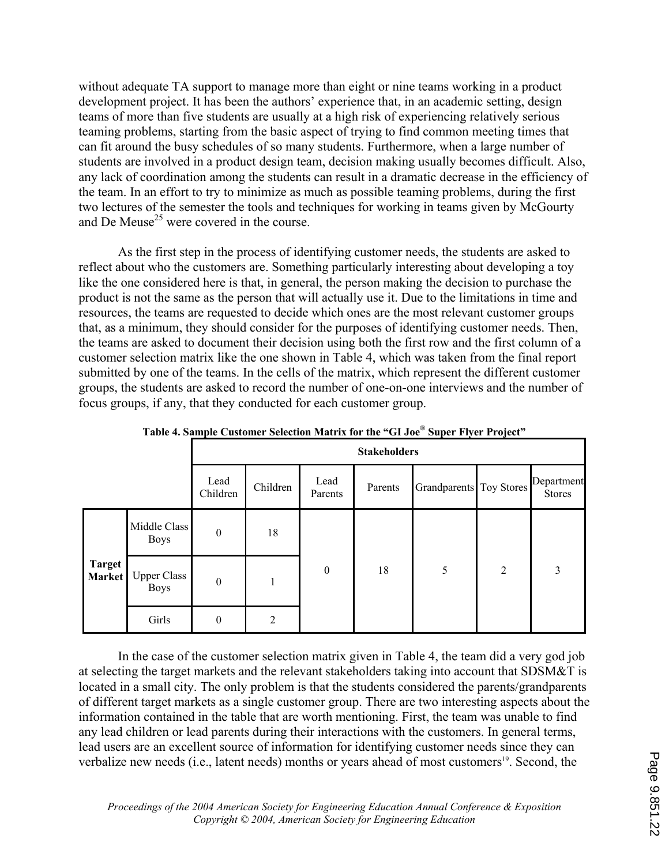without adequate TA support to manage more than eight or nine teams working in a product development project. It has been the authors' experience that, in an academic setting, design teams of more than five students are usually at a high risk of experiencing relatively serious teaming problems, starting from the basic aspect of trying to find common meeting times that can fit around the busy schedules of so many students. Furthermore, when a large number of students are involved in a product design team, decision making usually becomes difficult. Also, any lack of coordination among the students can result in a dramatic decrease in the efficiency of the team. In an effort to try to minimize as much as possible teaming problems, during the first two lectures of the semester the tools and techniques for working in teams given by McGourty and De Meuse<sup>25</sup> were covered in the course.

 As the first step in the process of identifying customer needs, the students are asked to reflect about who the customers are. Something particularly interesting about developing a toy like the one considered here is that, in general, the person making the decision to purchase the product is not the same as the person that will actually use it. Due to the limitations in time and resources, the teams are requested to decide which ones are the most relevant customer groups that, as a minimum, they should consider for the purposes of identifying customer needs. Then, the teams are asked to document their decision using both the first row and the first column of a customer selection matrix like the one shown in Table 4, which was taken from the final report submitted by one of the teams. In the cells of the matrix, which represent the different customer groups, the students are asked to record the number of one-on-one interviews and the number of focus groups, if any, that they conducted for each customer group.

|                         |                                   | <b>Stakeholders</b> |                |                  |         |                         |                |                             |
|-------------------------|-----------------------------------|---------------------|----------------|------------------|---------|-------------------------|----------------|-----------------------------|
|                         |                                   | Lead<br>Children    | Children       | Lead<br>Parents  | Parents | Grandparents Toy Stores |                | Department<br><b>Stores</b> |
| <b>Target</b><br>Market | Middle Class<br><b>Boys</b>       | $\boldsymbol{0}$    | 18             | $\boldsymbol{0}$ | 18      | 5                       | $\overline{2}$ | 3                           |
|                         | <b>Upper Class</b><br><b>Boys</b> | $\mathbf{0}$        |                |                  |         |                         |                |                             |
|                         | Girls                             | $\boldsymbol{0}$    | $\overline{2}$ |                  |         |                         |                |                             |

**Table 4. Sample Customer Selection Matrix for the "GI Joe® Super Flyer Project"** 

In the case of the customer selection matrix given in Table 4, the team did a very god job at selecting the target markets and the relevant stakeholders taking into account that SDSM&T is located in a small city. The only problem is that the students considered the parents/grandparents of different target markets as a single customer group. There are two interesting aspects about the information contained in the table that are worth mentioning. First, the team was unable to find any lead children or lead parents during their interactions with the customers. In general terms, lead users are an excellent source of information for identifying customer needs since they can verbalize new needs (i.e., latent needs) months or years ahead of most customers<sup>19</sup>. Second, the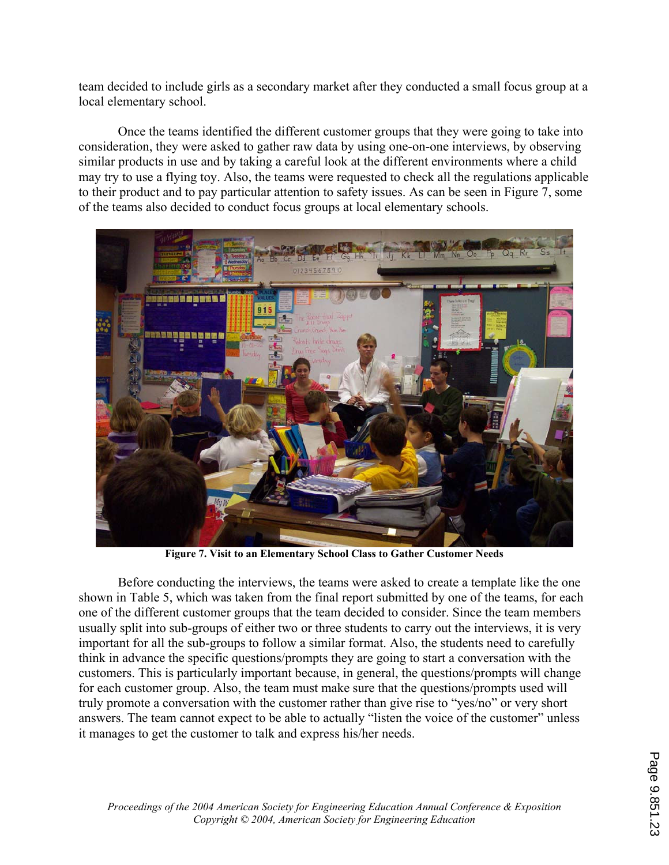team decided to include girls as a secondary market after they conducted a small focus group at a local elementary school.

 Once the teams identified the different customer groups that they were going to take into consideration, they were asked to gather raw data by using one-on-one interviews, by observing similar products in use and by taking a careful look at the different environments where a child may try to use a flying toy. Also, the teams were requested to check all the regulations applicable to their product and to pay particular attention to safety issues. As can be seen in Figure 7, some of the teams also decided to conduct focus groups at local elementary schools.



**Figure 7. Visit to an Elementary School Class to Gather Customer Needs** 

 Before conducting the interviews, the teams were asked to create a template like the one shown in Table 5, which was taken from the final report submitted by one of the teams, for each one of the different customer groups that the team decided to consider. Since the team members usually split into sub-groups of either two or three students to carry out the interviews, it is very important for all the sub-groups to follow a similar format. Also, the students need to carefully think in advance the specific questions/prompts they are going to start a conversation with the customers. This is particularly important because, in general, the questions/prompts will change for each customer group. Also, the team must make sure that the questions/prompts used will truly promote a conversation with the customer rather than give rise to "yes/no" or very short answers. The team cannot expect to be able to actually "listen the voice of the customer" unless it manages to get the customer to talk and express his/her needs.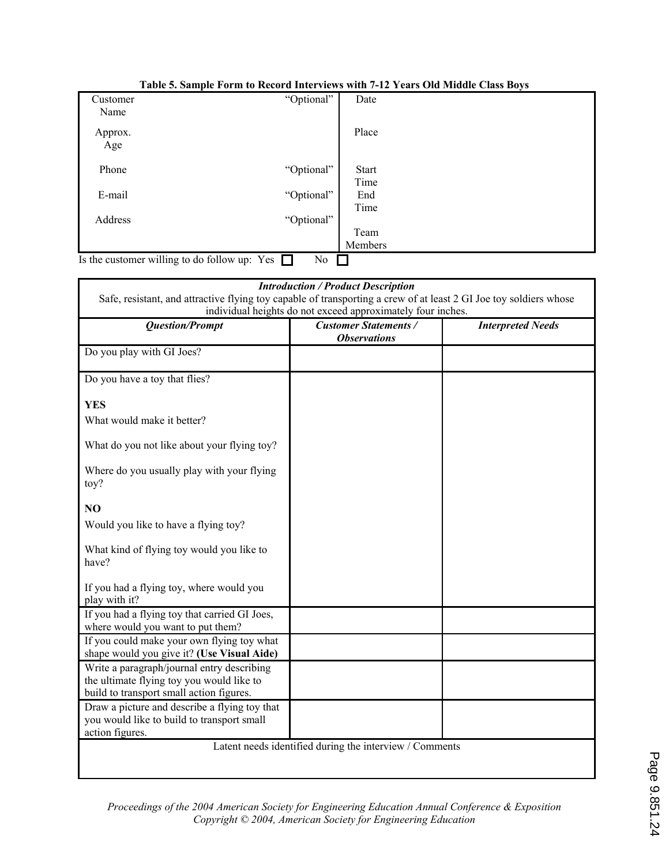|                                                     |            | $-1$         |
|-----------------------------------------------------|------------|--------------|
| Customer                                            | "Optional" | Date         |
| Name                                                |            |              |
| Approx.                                             |            | Place        |
| Age                                                 |            |              |
| Phone                                               | "Optional" | <b>Start</b> |
|                                                     |            | Time         |
| E-mail                                              | "Optional" | End          |
|                                                     |            | Time         |
| Address                                             | "Optional" |              |
|                                                     |            | Team         |
|                                                     |            | Members      |
| Is the customer willing to do follow up: Yes $\Box$ | No         |              |

#### **Table 5. Sample Form to Record Interviews with 7-12 Years Old Middle Class Boys**

| <b>Question/Prompt</b>                                                                                                              | <b>Customer Statements /</b><br><b>Observations</b> | <b>Interpreted Needs</b> |
|-------------------------------------------------------------------------------------------------------------------------------------|-----------------------------------------------------|--------------------------|
| Do you play with GI Joes?                                                                                                           |                                                     |                          |
| Do you have a toy that flies?                                                                                                       |                                                     |                          |
| <b>YES</b>                                                                                                                          |                                                     |                          |
| What would make it better?                                                                                                          |                                                     |                          |
| What do you not like about your flying toy?                                                                                         |                                                     |                          |
| Where do you usually play with your flying<br>toy?                                                                                  |                                                     |                          |
| N <sub>O</sub>                                                                                                                      |                                                     |                          |
| Would you like to have a flying toy?                                                                                                |                                                     |                          |
| What kind of flying toy would you like to<br>have?                                                                                  |                                                     |                          |
| If you had a flying toy, where would you<br>play with it?                                                                           |                                                     |                          |
| If you had a flying toy that carried GI Joes,<br>where would you want to put them?                                                  |                                                     |                          |
| If you could make your own flying toy what<br>shape would you give it? (Use Visual Aide)                                            |                                                     |                          |
| Write a paragraph/journal entry describing<br>the ultimate flying toy you would like to<br>build to transport small action figures. |                                                     |                          |
| Draw a picture and describe a flying toy that<br>you would like to build to transport small<br>action figures.                      |                                                     |                          |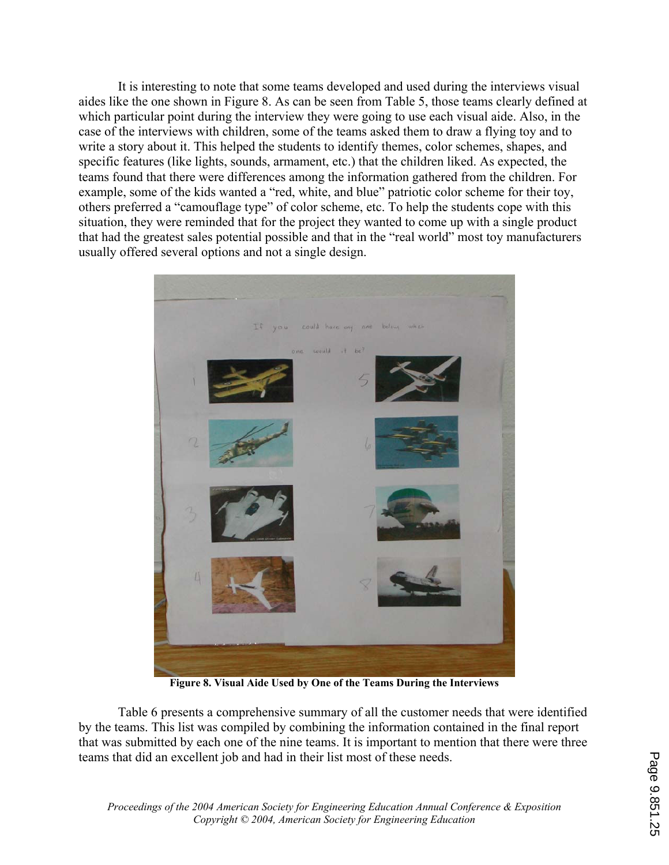It is interesting to note that some teams developed and used during the interviews visual aides like the one shown in Figure 8. As can be seen from Table 5, those teams clearly defined at which particular point during the interview they were going to use each visual aide. Also, in the case of the interviews with children, some of the teams asked them to draw a flying toy and to write a story about it. This helped the students to identify themes, color schemes, shapes, and specific features (like lights, sounds, armament, etc.) that the children liked. As expected, the teams found that there were differences among the information gathered from the children. For example, some of the kids wanted a "red, white, and blue" patriotic color scheme for their toy, others preferred a "camouflage type" of color scheme, etc. To help the students cope with this situation, they were reminded that for the project they wanted to come up with a single product that had the greatest sales potential possible and that in the "real world" most toy manufacturers usually offered several options and not a single design.



**Figure 8. Visual Aide Used by One of the Teams During the Interviews** 

Table 6 presents a comprehensive summary of all the customer needs that were identified by the teams. This list was compiled by combining the information contained in the final report that was submitted by each one of the nine teams. It is important to mention that there were three teams that did an excellent job and had in their list most of these needs.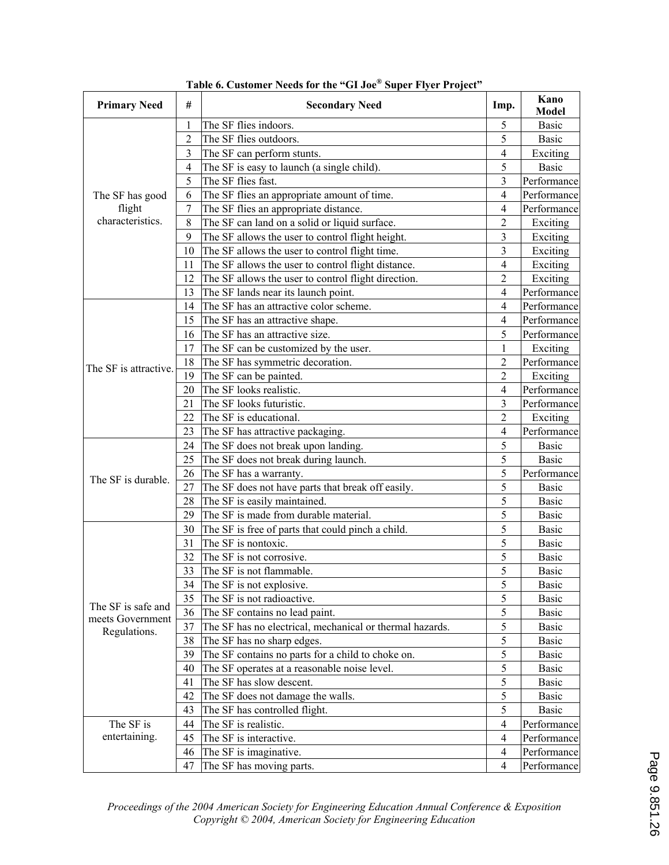| <b>Primary Need</b>   | #              | <b>Secondary Need</b>                                    | Imp.                    | Kano<br><b>Model</b> |
|-----------------------|----------------|----------------------------------------------------------|-------------------------|----------------------|
|                       | 1              | The SF flies indoors.                                    | 5                       | <b>Basic</b>         |
|                       | $\overline{2}$ | The SF flies outdoors.                                   | 5                       | <b>Basic</b>         |
|                       | 3              | The SF can perform stunts.                               | 4                       | Exciting             |
|                       | 4              | The SF is easy to launch (a single child).               | 5                       | <b>Basic</b>         |
|                       | 5              | The SF flies fast.                                       | $\overline{\mathbf{3}}$ | Performance          |
| The SF has good       | 6              | The SF flies an appropriate amount of time.              | 4                       | Performance          |
| flight                | 7              | The SF flies an appropriate distance.                    | 4                       | Performance          |
| characteristics.      | 8              | The SF can land on a solid or liquid surface.            | $\overline{2}$          | Exciting             |
|                       | 9              | The SF allows the user to control flight height.         | 3                       | Exciting             |
|                       | 10             | The SF allows the user to control flight time.           | 3                       | Exciting             |
|                       | 11             | The SF allows the user to control flight distance.       | $\overline{4}$          | Exciting             |
|                       | 12             | The SF allows the user to control flight direction.      | $\overline{c}$          | Exciting             |
|                       | 13             | The SF lands near its launch point.                      | $\overline{4}$          | Performance          |
|                       | 14             | The SF has an attractive color scheme.                   | 4                       | Performance          |
|                       | 15             | The SF has an attractive shape.                          | 4                       | Performance          |
|                       | 16             | The SF has an attractive size.                           | 5                       | Performance          |
|                       | 17             | The SF can be customized by the user.                    | 1                       | Exciting             |
| The SF is attractive. | 18             | The SF has symmetric decoration.                         | $\overline{c}$          | Performance          |
|                       | 19             | The SF can be painted.                                   | $\overline{2}$          | Exciting             |
|                       | 20             | The SF looks realistic.                                  | 4                       | Performance          |
|                       | 21             | The SF looks futuristic.                                 | 3                       | Performance          |
|                       | 22             | The SF is educational.                                   | $\overline{2}$          | Exciting             |
|                       | 23             | The SF has attractive packaging.                         | 4                       | Performance          |
|                       | 24             | The SF does not break upon landing.                      | 5                       | <b>Basic</b>         |
|                       | 25             | The SF does not break during launch.                     | 5                       | <b>Basic</b>         |
| The SF is durable.    | 26             | The SF has a warranty.                                   | 5                       | Performance          |
|                       | 27             | The SF does not have parts that break off easily.        | 5                       | Basic                |
|                       | 28             | The SF is easily maintained.                             | 5                       | <b>Basic</b>         |
|                       | 29             | The SF is made from durable material.                    | 5                       | Basic                |
|                       | 30             | The SF is free of parts that could pinch a child.        | 5                       | Basic                |
|                       | 31             | The SF is nontoxic.                                      | 5                       | Basic                |
|                       | 32             | The SF is not corrosive.                                 | 5                       | Basic                |
|                       | 33             | The SF is not flammable.                                 | 5                       | <b>Basic</b>         |
|                       | 34             | The SF is not explosive.                                 | 5                       | <b>Basic</b>         |
| The SF is safe and    | 35             | The SF is not radioactive.                               | 5                       | <b>Basic</b>         |
| meets Government      | 36             | The SF contains no lead paint.                           | 5                       | <b>Basic</b>         |
| Regulations.          | 37             | The SF has no electrical, mechanical or thermal hazards. | 5                       | <b>Basic</b>         |
|                       | 38             | The SF has no sharp edges.                               | 5                       | <b>Basic</b>         |
|                       | 39             | The SF contains no parts for a child to choke on.        | 5                       | Basic                |
|                       | 40             | The SF operates at a reasonable noise level.             | 5                       | <b>Basic</b>         |
|                       | 41             | The SF has slow descent.                                 | 5                       | <b>Basic</b>         |
|                       | 42             | The SF does not damage the walls.                        | 5                       | <b>Basic</b>         |
|                       | 43             | The SF has controlled flight.                            | 5                       | Basic                |
| The SF is             | 44             | The SF is realistic.                                     | 4                       | Performance          |
| entertaining.         | 45             | The SF is interactive.                                   | $\overline{4}$          | Performance          |
|                       | 46             | The SF is imaginative.                                   | 4                       | Performance          |
|                       | 47             | The SF has moving parts.                                 | 4                       | Performance          |

**Table 6. Customer Needs for the "GI Joe® Super Flyer Project"**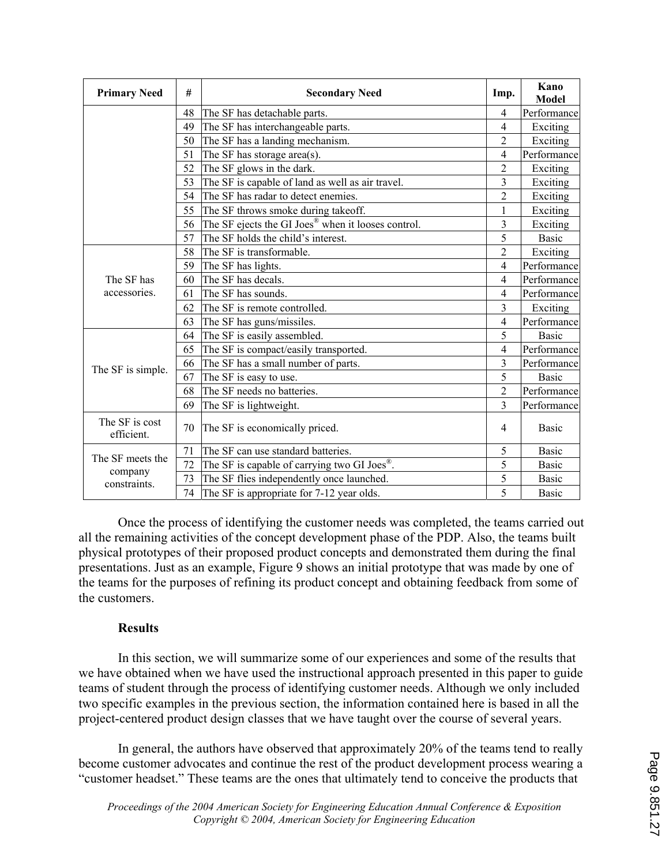| <b>Primary Need</b>          | #  | <b>Secondary Need</b>                                          | Imp.           | Kano<br>Model |
|------------------------------|----|----------------------------------------------------------------|----------------|---------------|
|                              | 48 | The SF has detachable parts.                                   | $\overline{4}$ | Performance   |
|                              | 49 | The SF has interchangeable parts.                              | $\overline{4}$ | Exciting      |
|                              | 50 | The SF has a landing mechanism.                                | $\overline{2}$ | Exciting      |
|                              | 51 | The SF has storage area(s).                                    | $\overline{4}$ | Performance   |
|                              | 52 | The SF glows in the dark.                                      | $\overline{2}$ | Exciting      |
|                              | 53 | The SF is capable of land as well as air travel.               | 3              | Exciting      |
|                              | 54 | The SF has radar to detect enemies.                            | $\overline{2}$ | Exciting      |
|                              | 55 | The SF throws smoke during takeoff.                            | 1              | Exciting      |
|                              | 56 | The SF ejects the GI Joes <sup>®</sup> when it looses control. | 3              | Exciting      |
|                              | 57 | The SF holds the child's interest.                             | 5              | <b>Basic</b>  |
|                              | 58 | The SF is transformable.                                       | $\overline{2}$ | Exciting      |
|                              | 59 | The SF has lights.                                             | $\overline{4}$ | Performance   |
| The SF has                   | 60 | The SF has decals.                                             | $\overline{4}$ | Performance   |
| accessories.                 | 61 | The SF has sounds.                                             | $\overline{4}$ | Performance   |
|                              | 62 | The SF is remote controlled.                                   | 3              | Exciting      |
|                              | 63 | The SF has guns/missiles.                                      | $\overline{4}$ | Performance   |
|                              | 64 | The SF is easily assembled.                                    | 5              | <b>Basic</b>  |
|                              | 65 | The SF is compact/easily transported.                          | $\overline{4}$ | Performance   |
| The SF is simple.            | 66 | The SF has a small number of parts.                            | 3              | Performance   |
|                              | 67 | The SF is easy to use.                                         | 5              | <b>Basic</b>  |
|                              | 68 | The SF needs no batteries.                                     | $\overline{2}$ | Performance   |
|                              | 69 | The SF is lightweight.                                         | 3              | Performance   |
| The SF is cost<br>efficient. | 70 | The SF is economically priced.                                 | $\overline{4}$ | <b>Basic</b>  |
| The SF meets the             | 71 | The SF can use standard batteries.                             | 5              | <b>Basic</b>  |
|                              | 72 | The SF is capable of carrying two GI Joes <sup>®</sup> .       | 5              | <b>Basic</b>  |
| company<br>constraints.      | 73 | The SF flies independently once launched.                      | 5              | <b>Basic</b>  |
|                              | 74 | The SF is appropriate for 7-12 year olds.                      | 5              | <b>Basic</b>  |

 Once the process of identifying the customer needs was completed, the teams carried out all the remaining activities of the concept development phase of the PDP. Also, the teams built physical prototypes of their proposed product concepts and demonstrated them during the final presentations. Just as an example, Figure 9 shows an initial prototype that was made by one of the teams for the purposes of refining its product concept and obtaining feedback from some of the customers.

## **Results**

 In this section, we will summarize some of our experiences and some of the results that we have obtained when we have used the instructional approach presented in this paper to guide teams of student through the process of identifying customer needs. Although we only included two specific examples in the previous section, the information contained here is based in all the project-centered product design classes that we have taught over the course of several years.

In general, the authors have observed that approximately 20% of the teams tend to really become customer advocates and continue the rest of the product development process wearing a "customer headset." These teams are the ones that ultimately tend to conceive the products that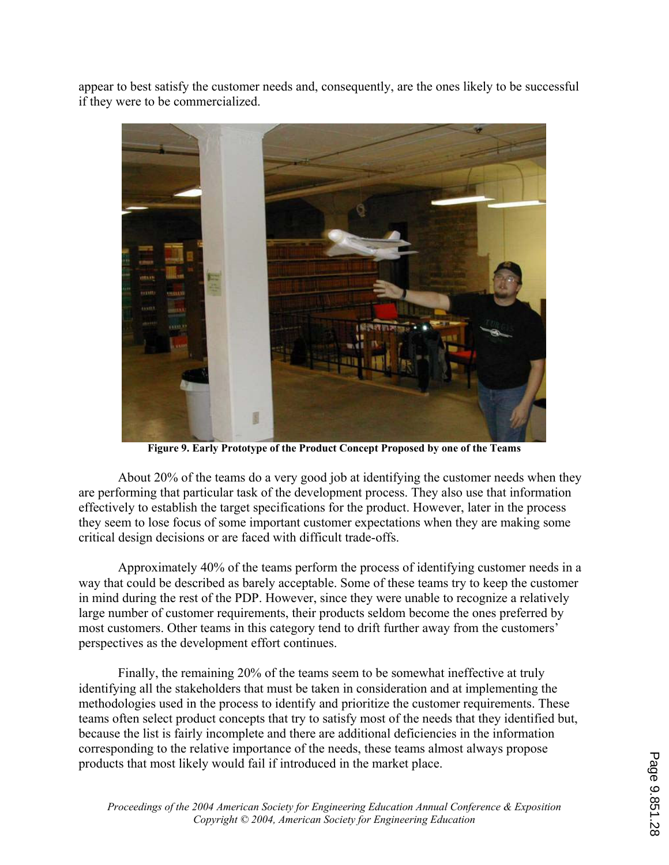appear to best satisfy the customer needs and, consequently, are the ones likely to be successful if they were to be commercialized.



**Figure 9. Early Prototype of the Product Concept Proposed by one of the Teams** 

 About 20% of the teams do a very good job at identifying the customer needs when they are performing that particular task of the development process. They also use that information effectively to establish the target specifications for the product. However, later in the process they seem to lose focus of some important customer expectations when they are making some critical design decisions or are faced with difficult trade-offs.

 Approximately 40% of the teams perform the process of identifying customer needs in a way that could be described as barely acceptable. Some of these teams try to keep the customer in mind during the rest of the PDP. However, since they were unable to recognize a relatively large number of customer requirements, their products seldom become the ones preferred by most customers. Other teams in this category tend to drift further away from the customers' perspectives as the development effort continues.

Finally, the remaining 20% of the teams seem to be somewhat ineffective at truly identifying all the stakeholders that must be taken in consideration and at implementing the methodologies used in the process to identify and prioritize the customer requirements. These teams often select product concepts that try to satisfy most of the needs that they identified but, because the list is fairly incomplete and there are additional deficiencies in the information corresponding to the relative importance of the needs, these teams almost always propose products that most likely would fail if introduced in the market place.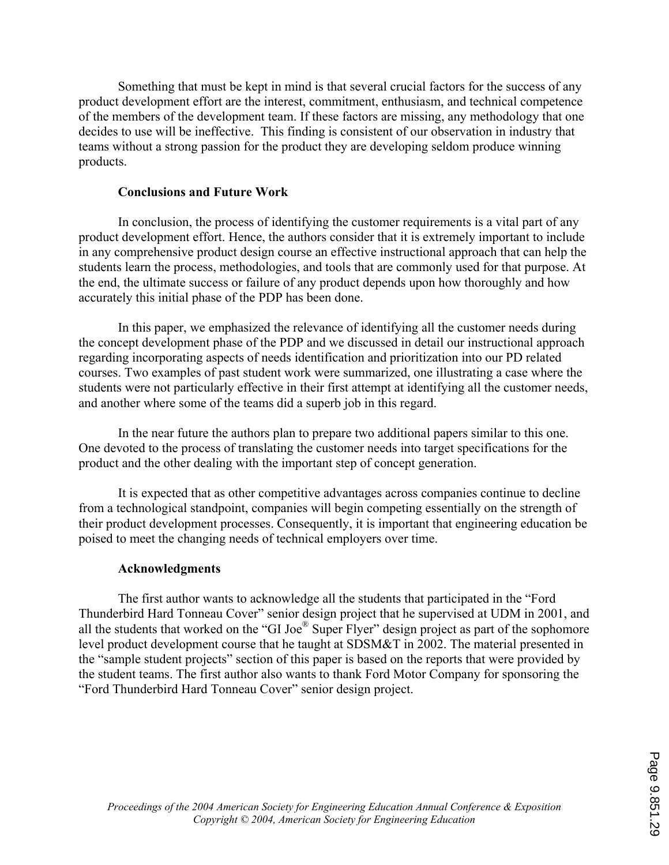Something that must be kept in mind is that several crucial factors for the success of any product development effort are the interest, commitment, enthusiasm, and technical competence of the members of the development team. If these factors are missing, any methodology that one decides to use will be ineffective. This finding is consistent of our observation in industry that teams without a strong passion for the product they are developing seldom produce winning products.

### **Conclusions and Future Work**

In conclusion, the process of identifying the customer requirements is a vital part of any produc t development effort. Hence, the authors consider that it is extremely important to include in any comprehensive product design course an effective instructional approach that can help the students learn the process, methodologies, and tools that are commonly used for that purpose. At the end, the ultimate success or failure of any product depends upon how thoroughly and how accurately this initial phase of the PDP has been done.

In this paper, we emphasized the relevance of identifying all the customer needs during the con cept development phase of the PDP and we discussed in detail our instructional approach courses. Two examples of past student work were summarized, one illustrating a case where the regarding incorporating aspects of needs identification and prioritization into our PD related students were not particularly effective in their first attempt at identifying all the customer needs, and another where some of the teams did a superb job in this regard.

In the near future the authors plan to prepare two additional papers similar to this one. One de voted to the process of translating the customer needs into target specifications for the product and the other dealing with the important step of concept generation.

It is expected that as other competitive advantages across companies continue to decline from a technological standpoint, companies will begin competing essentially on the strength of their product development processes. Consequently, it is important that engineering education be poised to meet the changing needs of technical employers over time.

#### **Acknowledgments**

The first author wants to acknowledge all the students that participated in the "Ford Thunderbird Hard Tonneau Cover" senior design project that he supervised at UDM in 2001, and all the students that worked on the "GI Joe® Super Flyer" design project as part of the sophomore level product development course that he taught at SDSM&T in 2002. The material presented in the "sample student projects" section of this paper is based on the reports that were provided by the student teams. The first author also wants to thank Ford Motor Company for sponsoring the "Ford Thunderbird Hard Tonneau Cover" senior design project.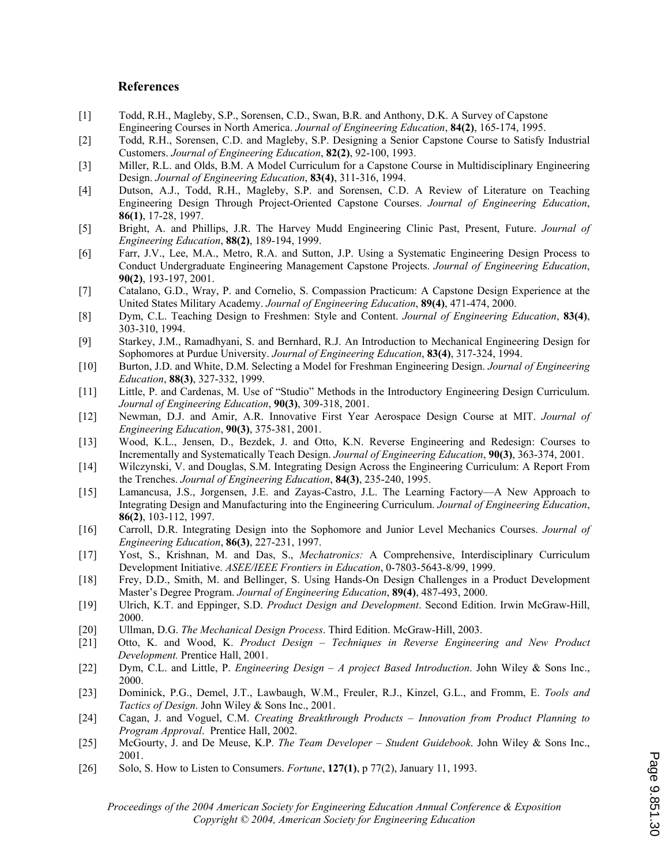#### **References**

- ] Todd, R.H., Magleby, S.P., Sorensen, C.D., Swan, B.R. and Anthony, D.K. A Survey of Capstone  $\lceil 1 \rceil$ Engineering Courses in North America. *Journal of Engineering Education*, **84(2)**, 165-174, 1995.
- [2] Todd, R.H., Sorensen, C.D. and Magleby, S.P. Designing a Senior Capstone Course to Satisfy Industrial Customers. *Journal of Engineering Education*, **82(2)**, 92-100, 1993.
- [3] Miller, R.L. and Olds, B.M. A Model Curriculum for a Capstone Course in Multidisciplinary Engineering Design. *Journal of Engineering Education*, **83(4)**, 311-316, 1994.
- [4] Dutson, A.J., Todd, R.H., Magleby, S.P. and Sorensen, C.D. A Review of Literature on Teaching Engineering Design Through Project-Oriented Capstone Courses. *Journal of Engineering Education*, **86(1)**, 17-28, 1997.
- [5] Bright, A. and Phillips, J.R. The Harvey Mudd Engineering Clinic Past, Present, Future. *Journal of Engineering Education*, **88(2)**, 189-194, 1999.
- [6] Farr, J.V., Lee, M.A., Metro, R.A. and Sutton, J.P. Using a Systematic Engineering Design Process to Conduct Undergraduate Engineering Management Capstone Projects. *Journal of Engineering Education*, **90(2)**, 193-197, 2001.
- [7] Catalano, G.D., Wray, P. and Cornelio, S. Compassion Practicum: A Capstone Design Experience at the United States Military Academy. *Journal of Engineering Education*, **89(4)**, 471-474, 2000.
- [8] Dym, C.L. Teaching Design to Freshmen: Style and Content. *Journal of Engineering Education*, 83(4), 303-310, 1994.
- [9] Starkey, J.M., Ramadhyani, S. and Bernhard, R.J. An Introduction to Mechanical Engineering Design for Sophomores at Purdue University. *Journal of Engineering Education*, **83(4)**, 317-324, 1994.
- [10] *f Engineering*  Burton, J.D. and White, D.M. Selecting a Model for Freshman Engineering Design. *Journal o Education*, **88(3)**, 327-332, 1999.
- [11] Little, P. and Cardenas, M. Use of "Studio" Methods in the Introductory Engineering Design Curriculum. *Journal of Engineering Education*, **90(3)**, 309-318, 2001.
- [12] Newman, D.J. and Amir, A.R. Innovative First Year Aerospace Design Course at MIT. *Journal of Engineering Education*, **90(3)**, 375-381, 2001.
- [13] Wood, K.L., Jensen, D., Bezdek, J. and Otto, K.N. Reverse Engineering and Redesign: Courses to Incrementally and Systematically Teach Design. *Journal of Engineering Education*, **90(3)**, 363-374, 2001.
- [14] Wilczynski, V. and Douglas, S.M. Integrating Design Across the Engineering Curriculum: A Report From the Trenches. *Journal of Engineering Education*, **84(3)**, 235-240, 1995.
- [15] Lamancusa, J.S., Jorgensen, J.E. and Zayas-Castro, J.L. The Learning Factory—A New Approach to Integrating Design and Manufacturing into the Engineering Curriculum. *Journal of Engineering Education*, **86(2)**, 103-112, 1997.
- [16] Carroll, D.R. Integrating Design into the Sophomore and Junior Level Mechanics Courses. *Journal of Engineering Education*, **86(3)**, 227-231, 1997.
- [17] Yost, S., Krishnan, M. and Das, S., *Mechatronics:* A Comprehensive, Interdisciplinary Curriculum Development Initiative. *ASEE/IEEE Frontiers in Education*, 0-7803-5643-8/99, 1999.
- [18] Frey, D.D., Smith, M. and Bellinger, S. Using Hands-On Design Challenges in a Product Development Master's Degree Program. *Journal of Engineering Education*, **89(4)**, 487-493, 2000.
- [19] Ulrich, K.T. and Eppinger, S.D. *Product Design and Development*. Second Edition. Irwin McGraw-Hill, 2000.
- [20] Ullman, D.G. *The Mechanical Design Process*. Third Edition. McGraw-Hill, 2003.
- *ng and New Product*  [21] Otto, K. and Wood, K. *Product Design Techniques in Reverse Engineeri Development.* Prentice Hall, 2001.
- [22] *ing Design A project Based Introduction*. John Wiley & Sons Inc., Dym, C.L. and Little, P. *Engineer* 2000.
- [23] Dominick, P.G., Demel, J.T., Lawbaugh, W.M., Freuler, R.J., Kinzel, G.L., and Fromm, E. *Tools and Tactics of Design*. John Wiley & Sons Inc., 2001.
- [24] Cagan, J. and Voguel, C.M. *Creating Breakthrough Products Innovation from Product Planning to Program Approval*. Prentice Hall, 2002.
- [25] McGourty, J. and De Meuse, K.P. *The Team Developer Student Guidebook*. John Wiley & Sons Inc., 2001.
- [26] Solo, S. How to Listen to Consumers. *Fortune*, **127(1)**, p 77(2), January 11, 1993.